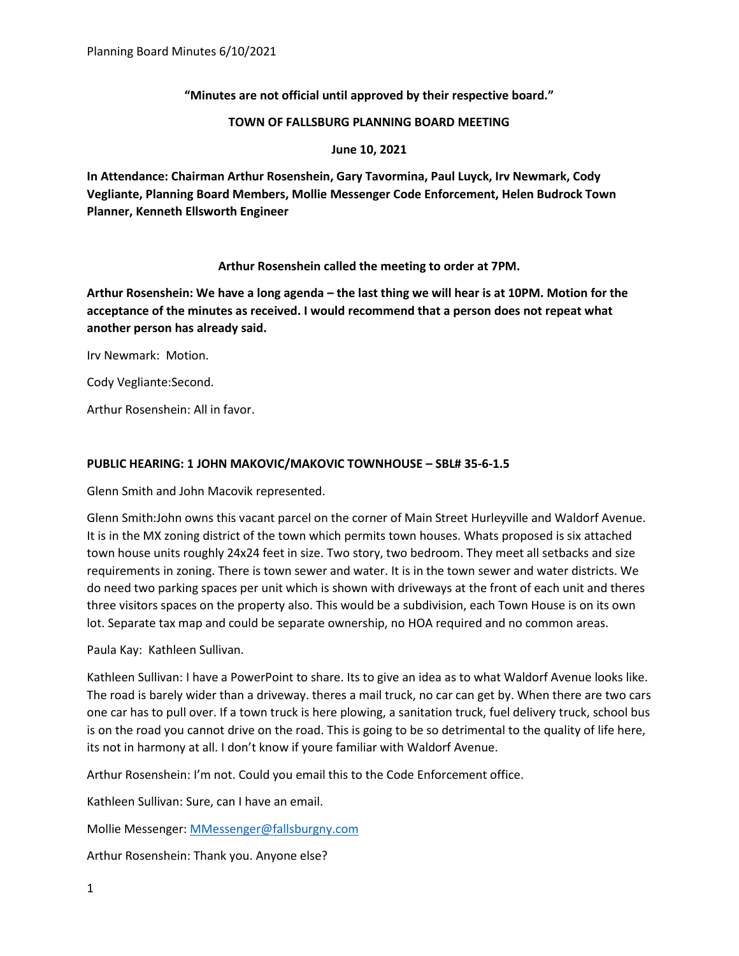**"Minutes are not official until approved by their respective board."** 

#### **TOWN OF FALLSBURG PLANNING BOARD MEETING**

**June 10, 2021**

**In Attendance: Chairman Arthur Rosenshein, Gary Tavormina, Paul Luyck, Irv Newmark, Cody Vegliante, Planning Board Members, Mollie Messenger Code Enforcement, Helen Budrock Town Planner, Kenneth Ellsworth Engineer**

# **Arthur Rosenshein called the meeting to order at 7PM.**

**Arthur Rosenshein: We have a long agenda – the last thing we will hear is at 10PM. Motion for the acceptance of the minutes as received. I would recommend that a person does not repeat what another person has already said.** 

Irv Newmark: Motion.

Cody Vegliante:Second.

Arthur Rosenshein: All in favor.

# **PUBLIC HEARING: 1 JOHN MAKOVIC/MAKOVIC TOWNHOUSE – SBL# 35-6-1.5**

Glenn Smith and John Macovik represented.

Glenn Smith:John owns this vacant parcel on the corner of Main Street Hurleyville and Waldorf Avenue. It is in the MX zoning district of the town which permits town houses. Whats proposed is six attached town house units roughly 24x24 feet in size. Two story, two bedroom. They meet all setbacks and size requirements in zoning. There is town sewer and water. It is in the town sewer and water districts. We do need two parking spaces per unit which is shown with driveways at the front of each unit and theres three visitors spaces on the property also. This would be a subdivision, each Town House is on its own lot. Separate tax map and could be separate ownership, no HOA required and no common areas.

Paula Kay: Kathleen Sullivan.

Kathleen Sullivan: I have a PowerPoint to share. Its to give an idea as to what Waldorf Avenue looks like. The road is barely wider than a driveway. theres a mail truck, no car can get by. When there are two cars one car has to pull over. If a town truck is here plowing, a sanitation truck, fuel delivery truck, school bus is on the road you cannot drive on the road. This is going to be so detrimental to the quality of life here, its not in harmony at all. I don't know if youre familiar with Waldorf Avenue.

Arthur Rosenshein: I'm not. Could you email this to the Code Enforcement office.

Kathleen Sullivan: Sure, can I have an email.

Mollie Messenger: [MMessenger@fallsburgny.com](mailto:MMessenger@fallsburgny.com)

Arthur Rosenshein: Thank you. Anyone else?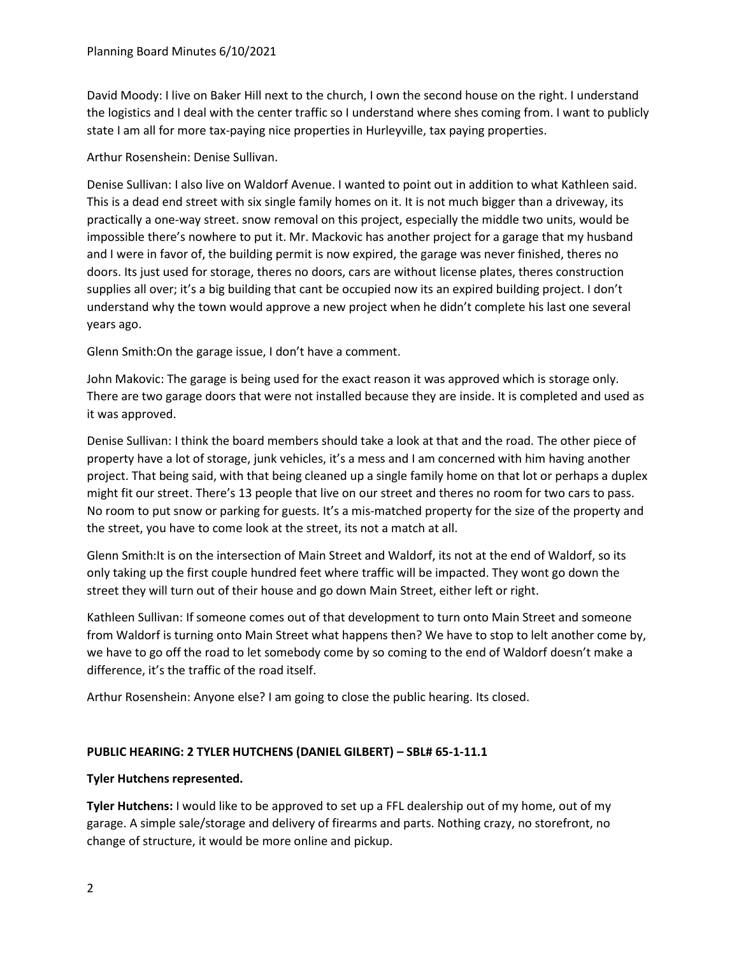David Moody: I live on Baker Hill next to the church, I own the second house on the right. I understand the logistics and I deal with the center traffic so I understand where shes coming from. I want to publicly state I am all for more tax-paying nice properties in Hurleyville, tax paying properties.

Arthur Rosenshein: Denise Sullivan.

Denise Sullivan: I also live on Waldorf Avenue. I wanted to point out in addition to what Kathleen said. This is a dead end street with six single family homes on it. It is not much bigger than a driveway, its practically a one-way street. snow removal on this project, especially the middle two units, would be impossible there's nowhere to put it. Mr. Mackovic has another project for a garage that my husband and I were in favor of, the building permit is now expired, the garage was never finished, theres no doors. Its just used for storage, theres no doors, cars are without license plates, theres construction supplies all over; it's a big building that cant be occupied now its an expired building project. I don't understand why the town would approve a new project when he didn't complete his last one several years ago.

Glenn Smith:On the garage issue, I don't have a comment.

John Makovic: The garage is being used for the exact reason it was approved which is storage only. There are two garage doors that were not installed because they are inside. It is completed and used as it was approved.

Denise Sullivan: I think the board members should take a look at that and the road. The other piece of property have a lot of storage, junk vehicles, it's a mess and I am concerned with him having another project. That being said, with that being cleaned up a single family home on that lot or perhaps a duplex might fit our street. There's 13 people that live on our street and theres no room for two cars to pass. No room to put snow or parking for guests. It's a mis-matched property for the size of the property and the street, you have to come look at the street, its not a match at all.

Glenn Smith:It is on the intersection of Main Street and Waldorf, its not at the end of Waldorf, so its only taking up the first couple hundred feet where traffic will be impacted. They wont go down the street they will turn out of their house and go down Main Street, either left or right.

Kathleen Sullivan: If someone comes out of that development to turn onto Main Street and someone from Waldorf is turning onto Main Street what happens then? We have to stop to lelt another come by, we have to go off the road to let somebody come by so coming to the end of Waldorf doesn't make a difference, it's the traffic of the road itself.

Arthur Rosenshein: Anyone else? I am going to close the public hearing. Its closed.

### **PUBLIC HEARING: 2 TYLER HUTCHENS (DANIEL GILBERT) – SBL# 65-1-11.1**

### **Tyler Hutchens represented.**

**Tyler Hutchens:** I would like to be approved to set up a FFL dealership out of my home, out of my garage. A simple sale/storage and delivery of firearms and parts. Nothing crazy, no storefront, no change of structure, it would be more online and pickup.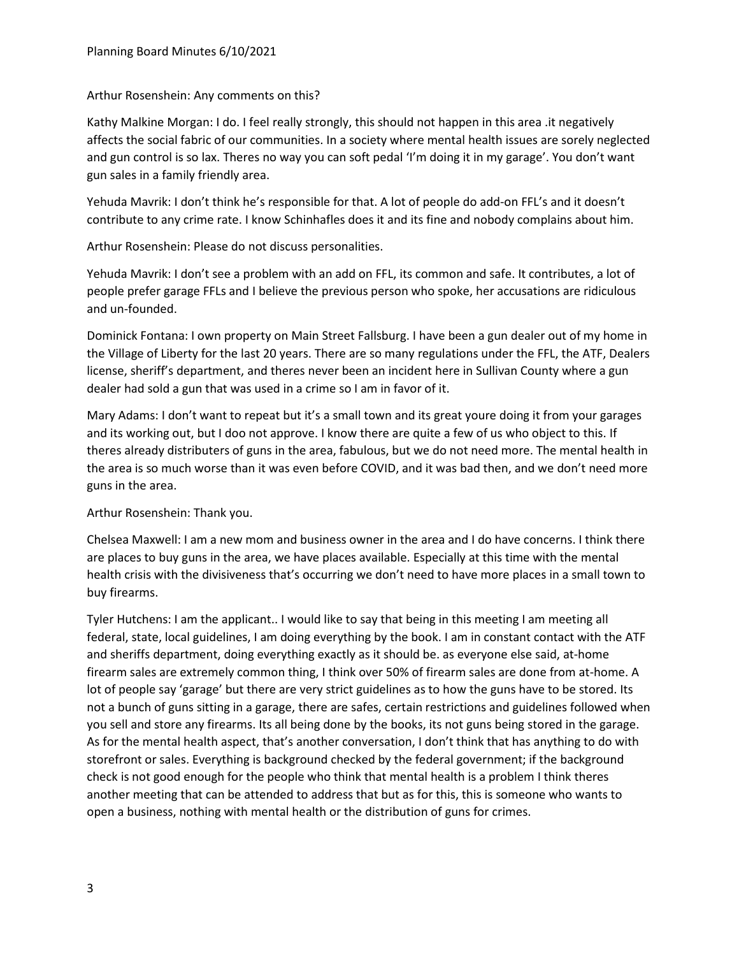### Arthur Rosenshein: Any comments on this?

Kathy Malkine Morgan: I do. I feel really strongly, this should not happen in this area .it negatively affects the social fabric of our communities. In a society where mental health issues are sorely neglected and gun control is so lax. Theres no way you can soft pedal 'I'm doing it in my garage'. You don't want gun sales in a family friendly area.

Yehuda Mavrik: I don't think he's responsible for that. A lot of people do add-on FFL's and it doesn't contribute to any crime rate. I know Schinhafles does it and its fine and nobody complains about him.

Arthur Rosenshein: Please do not discuss personalities.

Yehuda Mavrik: I don't see a problem with an add on FFL, its common and safe. It contributes, a lot of people prefer garage FFLs and I believe the previous person who spoke, her accusations are ridiculous and un-founded.

Dominick Fontana: I own property on Main Street Fallsburg. I have been a gun dealer out of my home in the Village of Liberty for the last 20 years. There are so many regulations under the FFL, the ATF, Dealers license, sheriff's department, and theres never been an incident here in Sullivan County where a gun dealer had sold a gun that was used in a crime so I am in favor of it.

Mary Adams: I don't want to repeat but it's a small town and its great youre doing it from your garages and its working out, but I doo not approve. I know there are quite a few of us who object to this. If theres already distributers of guns in the area, fabulous, but we do not need more. The mental health in the area is so much worse than it was even before COVID, and it was bad then, and we don't need more guns in the area.

Arthur Rosenshein: Thank you.

Chelsea Maxwell: I am a new mom and business owner in the area and I do have concerns. I think there are places to buy guns in the area, we have places available. Especially at this time with the mental health crisis with the divisiveness that's occurring we don't need to have more places in a small town to buy firearms.

Tyler Hutchens: I am the applicant.. I would like to say that being in this meeting I am meeting all federal, state, local guidelines, I am doing everything by the book. I am in constant contact with the ATF and sheriffs department, doing everything exactly as it should be. as everyone else said, at-home firearm sales are extremely common thing, I think over 50% of firearm sales are done from at-home. A lot of people say 'garage' but there are very strict guidelines as to how the guns have to be stored. Its not a bunch of guns sitting in a garage, there are safes, certain restrictions and guidelines followed when you sell and store any firearms. Its all being done by the books, its not guns being stored in the garage. As for the mental health aspect, that's another conversation, I don't think that has anything to do with storefront or sales. Everything is background checked by the federal government; if the background check is not good enough for the people who think that mental health is a problem I think theres another meeting that can be attended to address that but as for this, this is someone who wants to open a business, nothing with mental health or the distribution of guns for crimes.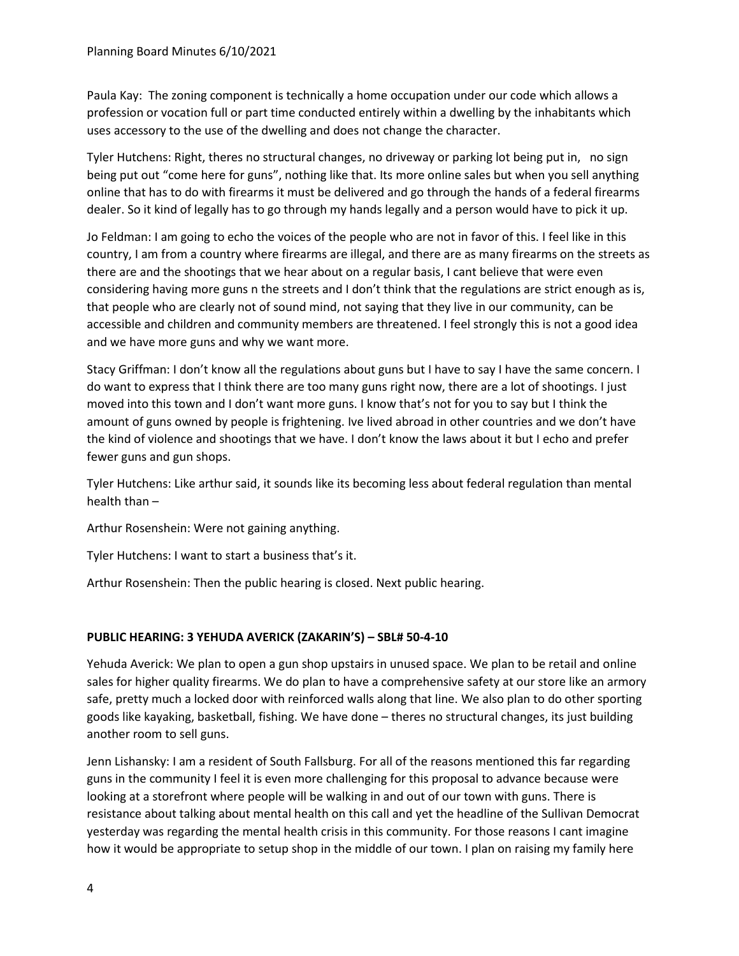Paula Kay: The zoning component is technically a home occupation under our code which allows a profession or vocation full or part time conducted entirely within a dwelling by the inhabitants which uses accessory to the use of the dwelling and does not change the character.

Tyler Hutchens: Right, theres no structural changes, no driveway or parking lot being put in, no sign being put out "come here for guns", nothing like that. Its more online sales but when you sell anything online that has to do with firearms it must be delivered and go through the hands of a federal firearms dealer. So it kind of legally has to go through my hands legally and a person would have to pick it up.

Jo Feldman: I am going to echo the voices of the people who are not in favor of this. I feel like in this country, I am from a country where firearms are illegal, and there are as many firearms on the streets as there are and the shootings that we hear about on a regular basis, I cant believe that were even considering having more guns n the streets and I don't think that the regulations are strict enough as is, that people who are clearly not of sound mind, not saying that they live in our community, can be accessible and children and community members are threatened. I feel strongly this is not a good idea and we have more guns and why we want more.

Stacy Griffman: I don't know all the regulations about guns but I have to say I have the same concern. I do want to express that I think there are too many guns right now, there are a lot of shootings. I just moved into this town and I don't want more guns. I know that's not for you to say but I think the amount of guns owned by people is frightening. Ive lived abroad in other countries and we don't have the kind of violence and shootings that we have. I don't know the laws about it but I echo and prefer fewer guns and gun shops.

Tyler Hutchens: Like arthur said, it sounds like its becoming less about federal regulation than mental health than –

Arthur Rosenshein: Were not gaining anything.

Tyler Hutchens: I want to start a business that's it.

Arthur Rosenshein: Then the public hearing is closed. Next public hearing.

# **PUBLIC HEARING: 3 YEHUDA AVERICK (ZAKARIN'S) – SBL# 50-4-10**

Yehuda Averick: We plan to open a gun shop upstairs in unused space. We plan to be retail and online sales for higher quality firearms. We do plan to have a comprehensive safety at our store like an armory safe, pretty much a locked door with reinforced walls along that line. We also plan to do other sporting goods like kayaking, basketball, fishing. We have done – theres no structural changes, its just building another room to sell guns.

Jenn Lishansky: I am a resident of South Fallsburg. For all of the reasons mentioned this far regarding guns in the community I feel it is even more challenging for this proposal to advance because were looking at a storefront where people will be walking in and out of our town with guns. There is resistance about talking about mental health on this call and yet the headline of the Sullivan Democrat yesterday was regarding the mental health crisis in this community. For those reasons I cant imagine how it would be appropriate to setup shop in the middle of our town. I plan on raising my family here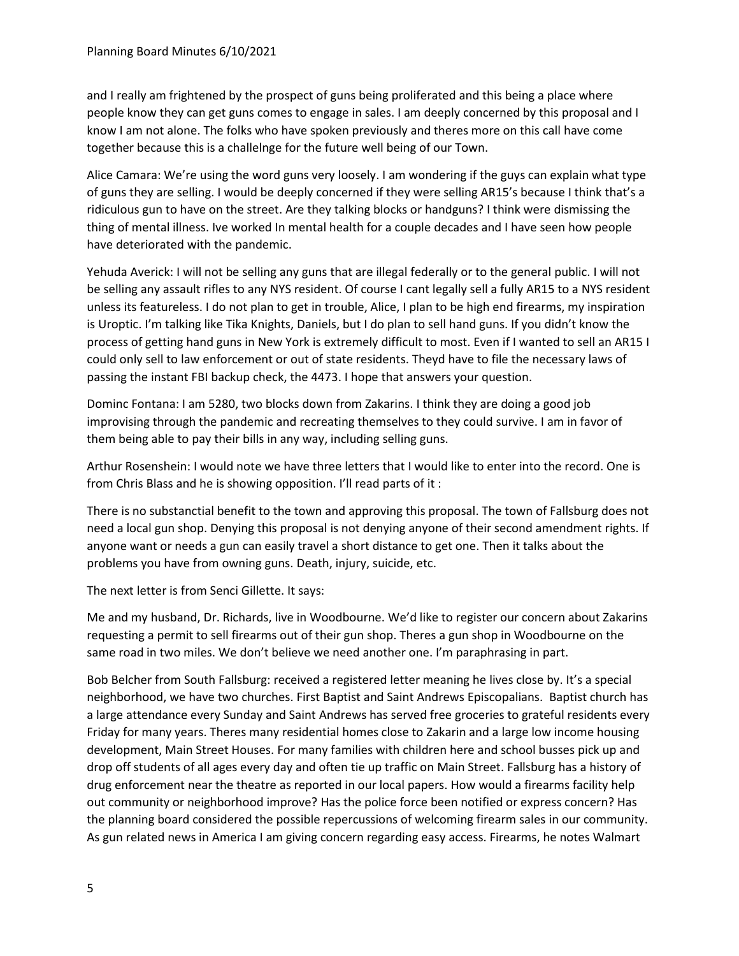and I really am frightened by the prospect of guns being proliferated and this being a place where people know they can get guns comes to engage in sales. I am deeply concerned by this proposal and I know I am not alone. The folks who have spoken previously and theres more on this call have come together because this is a challelnge for the future well being of our Town.

Alice Camara: We're using the word guns very loosely. I am wondering if the guys can explain what type of guns they are selling. I would be deeply concerned if they were selling AR15's because I think that's a ridiculous gun to have on the street. Are they talking blocks or handguns? I think were dismissing the thing of mental illness. Ive worked In mental health for a couple decades and I have seen how people have deteriorated with the pandemic.

Yehuda Averick: I will not be selling any guns that are illegal federally or to the general public. I will not be selling any assault rifles to any NYS resident. Of course I cant legally sell a fully AR15 to a NYS resident unless its featureless. I do not plan to get in trouble, Alice, I plan to be high end firearms, my inspiration is Uroptic. I'm talking like Tika Knights, Daniels, but I do plan to sell hand guns. If you didn't know the process of getting hand guns in New York is extremely difficult to most. Even if I wanted to sell an AR15 I could only sell to law enforcement or out of state residents. Theyd have to file the necessary laws of passing the instant FBI backup check, the 4473. I hope that answers your question.

Dominc Fontana: I am 5280, two blocks down from Zakarins. I think they are doing a good job improvising through the pandemic and recreating themselves to they could survive. I am in favor of them being able to pay their bills in any way, including selling guns.

Arthur Rosenshein: I would note we have three letters that I would like to enter into the record. One is from Chris Blass and he is showing opposition. I'll read parts of it :

There is no substanctial benefit to the town and approving this proposal. The town of Fallsburg does not need a local gun shop. Denying this proposal is not denying anyone of their second amendment rights. If anyone want or needs a gun can easily travel a short distance to get one. Then it talks about the problems you have from owning guns. Death, injury, suicide, etc.

The next letter is from Senci Gillette. It says:

Me and my husband, Dr. Richards, live in Woodbourne. We'd like to register our concern about Zakarins requesting a permit to sell firearms out of their gun shop. Theres a gun shop in Woodbourne on the same road in two miles. We don't believe we need another one. I'm paraphrasing in part.

Bob Belcher from South Fallsburg: received a registered letter meaning he lives close by. It's a special neighborhood, we have two churches. First Baptist and Saint Andrews Episcopalians. Baptist church has a large attendance every Sunday and Saint Andrews has served free groceries to grateful residents every Friday for many years. Theres many residential homes close to Zakarin and a large low income housing development, Main Street Houses. For many families with children here and school busses pick up and drop off students of all ages every day and often tie up traffic on Main Street. Fallsburg has a history of drug enforcement near the theatre as reported in our local papers. How would a firearms facility help out community or neighborhood improve? Has the police force been notified or express concern? Has the planning board considered the possible repercussions of welcoming firearm sales in our community. As gun related news in America I am giving concern regarding easy access. Firearms, he notes Walmart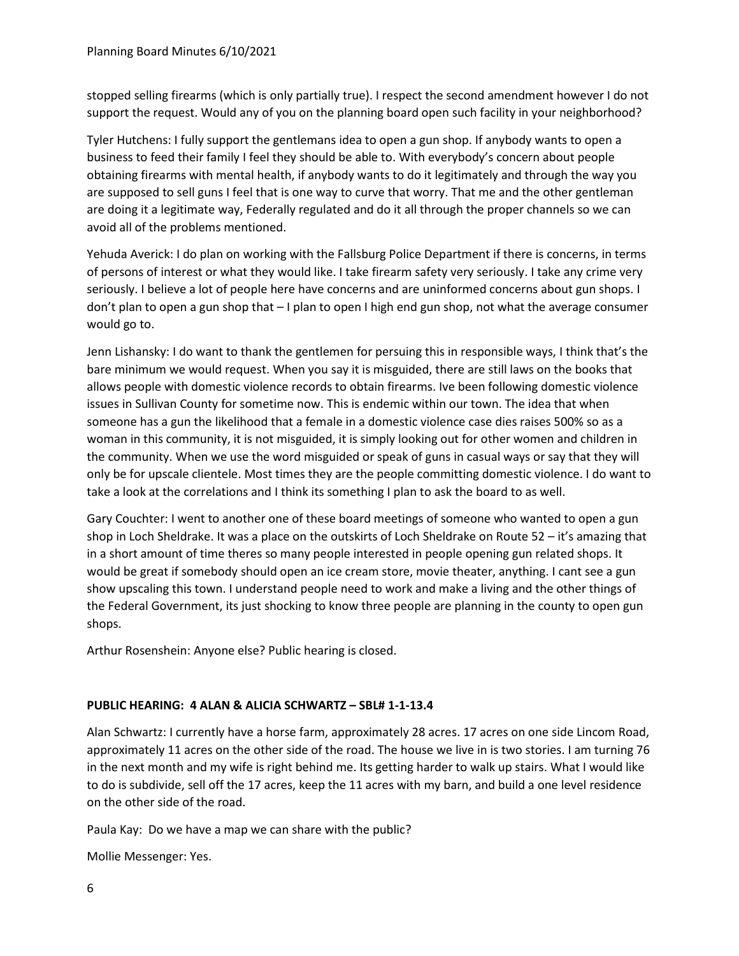stopped selling firearms (which is only partially true). I respect the second amendment however I do not support the request. Would any of you on the planning board open such facility in your neighborhood?

Tyler Hutchens: I fully support the gentlemans idea to open a gun shop. If anybody wants to open a business to feed their family I feel they should be able to. With everybody's concern about people obtaining firearms with mental health, if anybody wants to do it legitimately and through the way you are supposed to sell guns I feel that is one way to curve that worry. That me and the other gentleman are doing it a legitimate way, Federally regulated and do it all through the proper channels so we can avoid all of the problems mentioned.

Yehuda Averick: I do plan on working with the Fallsburg Police Department if there is concerns, in terms of persons of interest or what they would like. I take firearm safety very seriously. I take any crime very seriously. I believe a lot of people here have concerns and are uninformed concerns about gun shops. I don't plan to open a gun shop that – I plan to open I high end gun shop, not what the average consumer would go to.

Jenn Lishansky: I do want to thank the gentlemen for persuing this in responsible ways, I think that's the bare minimum we would request. When you say it is misguided, there are still laws on the books that allows people with domestic violence records to obtain firearms. Ive been following domestic violence issues in Sullivan County for sometime now. This is endemic within our town. The idea that when someone has a gun the likelihood that a female in a domestic violence case dies raises 500% so as a woman in this community, it is not misguided, it is simply looking out for other women and children in the community. When we use the word misguided or speak of guns in casual ways or say that they will only be for upscale clientele. Most times they are the people committing domestic violence. I do want to take a look at the correlations and I think its something I plan to ask the board to as well.

Gary Couchter: I went to another one of these board meetings of someone who wanted to open a gun shop in Loch Sheldrake. It was a place on the outskirts of Loch Sheldrake on Route 52 – it's amazing that in a short amount of time theres so many people interested in people opening gun related shops. It would be great if somebody should open an ice cream store, movie theater, anything. I cant see a gun show upscaling this town. I understand people need to work and make a living and the other things of the Federal Government, its just shocking to know three people are planning in the county to open gun shops.

Arthur Rosenshein: Anyone else? Public hearing is closed.

# **PUBLIC HEARING: 4 ALAN & ALICIA SCHWARTZ – SBL# 1-1-13.4**

Alan Schwartz: I currently have a horse farm, approximately 28 acres. 17 acres on one side Lincom Road, approximately 11 acres on the other side of the road. The house we live in is two stories. I am turning 76 in the next month and my wife is right behind me. Its getting harder to walk up stairs. What I would like to do is subdivide, sell off the 17 acres, keep the 11 acres with my barn, and build a one level residence on the other side of the road.

Paula Kay: Do we have a map we can share with the public?

Mollie Messenger: Yes.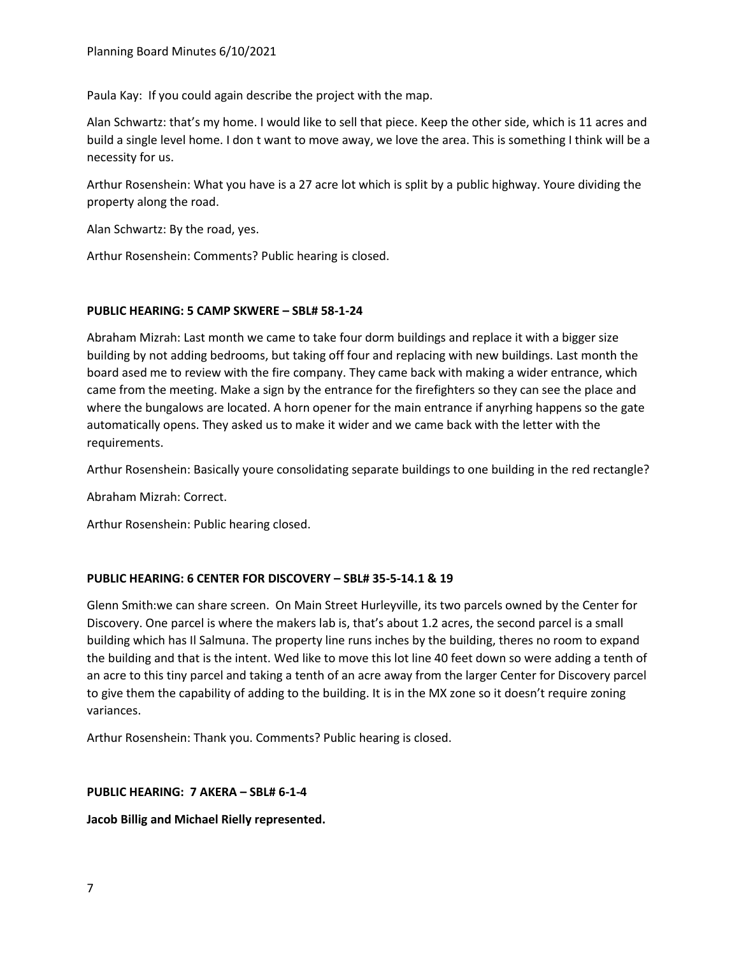Paula Kay: If you could again describe the project with the map.

Alan Schwartz: that's my home. I would like to sell that piece. Keep the other side, which is 11 acres and build a single level home. I don t want to move away, we love the area. This is something I think will be a necessity for us.

Arthur Rosenshein: What you have is a 27 acre lot which is split by a public highway. Youre dividing the property along the road.

Alan Schwartz: By the road, yes.

Arthur Rosenshein: Comments? Public hearing is closed.

# **PUBLIC HEARING: 5 CAMP SKWERE – SBL# 58-1-24**

Abraham Mizrah: Last month we came to take four dorm buildings and replace it with a bigger size building by not adding bedrooms, but taking off four and replacing with new buildings. Last month the board ased me to review with the fire company. They came back with making a wider entrance, which came from the meeting. Make a sign by the entrance for the firefighters so they can see the place and where the bungalows are located. A horn opener for the main entrance if anyrhing happens so the gate automatically opens. They asked us to make it wider and we came back with the letter with the requirements.

Arthur Rosenshein: Basically youre consolidating separate buildings to one building in the red rectangle?

Abraham Mizrah: Correct.

Arthur Rosenshein: Public hearing closed.

# **PUBLIC HEARING: 6 CENTER FOR DISCOVERY – SBL# 35-5-14.1 & 19**

Glenn Smith:we can share screen. On Main Street Hurleyville, its two parcels owned by the Center for Discovery. One parcel is where the makers lab is, that's about 1.2 acres, the second parcel is a small building which has Il Salmuna. The property line runs inches by the building, theres no room to expand the building and that is the intent. Wed like to move this lot line 40 feet down so were adding a tenth of an acre to this tiny parcel and taking a tenth of an acre away from the larger Center for Discovery parcel to give them the capability of adding to the building. It is in the MX zone so it doesn't require zoning variances.

Arthur Rosenshein: Thank you. Comments? Public hearing is closed.

### **PUBLIC HEARING: 7 AKERA – SBL# 6-1-4**

**Jacob Billig and Michael Rielly represented.**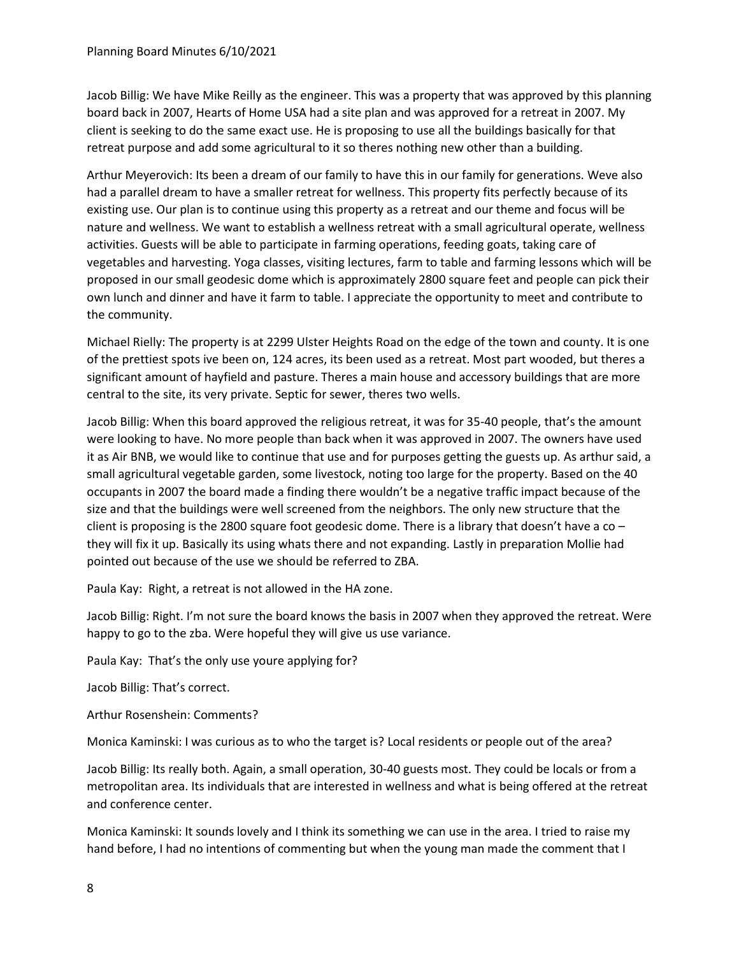Jacob Billig: We have Mike Reilly as the engineer. This was a property that was approved by this planning board back in 2007, Hearts of Home USA had a site plan and was approved for a retreat in 2007. My client is seeking to do the same exact use. He is proposing to use all the buildings basically for that retreat purpose and add some agricultural to it so theres nothing new other than a building.

Arthur Meyerovich: Its been a dream of our family to have this in our family for generations. Weve also had a parallel dream to have a smaller retreat for wellness. This property fits perfectly because of its existing use. Our plan is to continue using this property as a retreat and our theme and focus will be nature and wellness. We want to establish a wellness retreat with a small agricultural operate, wellness activities. Guests will be able to participate in farming operations, feeding goats, taking care of vegetables and harvesting. Yoga classes, visiting lectures, farm to table and farming lessons which will be proposed in our small geodesic dome which is approximately 2800 square feet and people can pick their own lunch and dinner and have it farm to table. I appreciate the opportunity to meet and contribute to the community.

Michael Rielly: The property is at 2299 Ulster Heights Road on the edge of the town and county. It is one of the prettiest spots ive been on, 124 acres, its been used as a retreat. Most part wooded, but theres a significant amount of hayfield and pasture. Theres a main house and accessory buildings that are more central to the site, its very private. Septic for sewer, theres two wells.

Jacob Billig: When this board approved the religious retreat, it was for 35-40 people, that's the amount were looking to have. No more people than back when it was approved in 2007. The owners have used it as Air BNB, we would like to continue that use and for purposes getting the guests up. As arthur said, a small agricultural vegetable garden, some livestock, noting too large for the property. Based on the 40 occupants in 2007 the board made a finding there wouldn't be a negative traffic impact because of the size and that the buildings were well screened from the neighbors. The only new structure that the client is proposing is the 2800 square foot geodesic dome. There is a library that doesn't have a co – they will fix it up. Basically its using whats there and not expanding. Lastly in preparation Mollie had pointed out because of the use we should be referred to ZBA.

Paula Kay: Right, a retreat is not allowed in the HA zone.

Jacob Billig: Right. I'm not sure the board knows the basis in 2007 when they approved the retreat. Were happy to go to the zba. Were hopeful they will give us use variance.

Paula Kay: That's the only use youre applying for?

Jacob Billig: That's correct.

Arthur Rosenshein: Comments?

Monica Kaminski: I was curious as to who the target is? Local residents or people out of the area?

Jacob Billig: Its really both. Again, a small operation, 30-40 guests most. They could be locals or from a metropolitan area. Its individuals that are interested in wellness and what is being offered at the retreat and conference center.

Monica Kaminski: It sounds lovely and I think its something we can use in the area. I tried to raise my hand before, I had no intentions of commenting but when the young man made the comment that I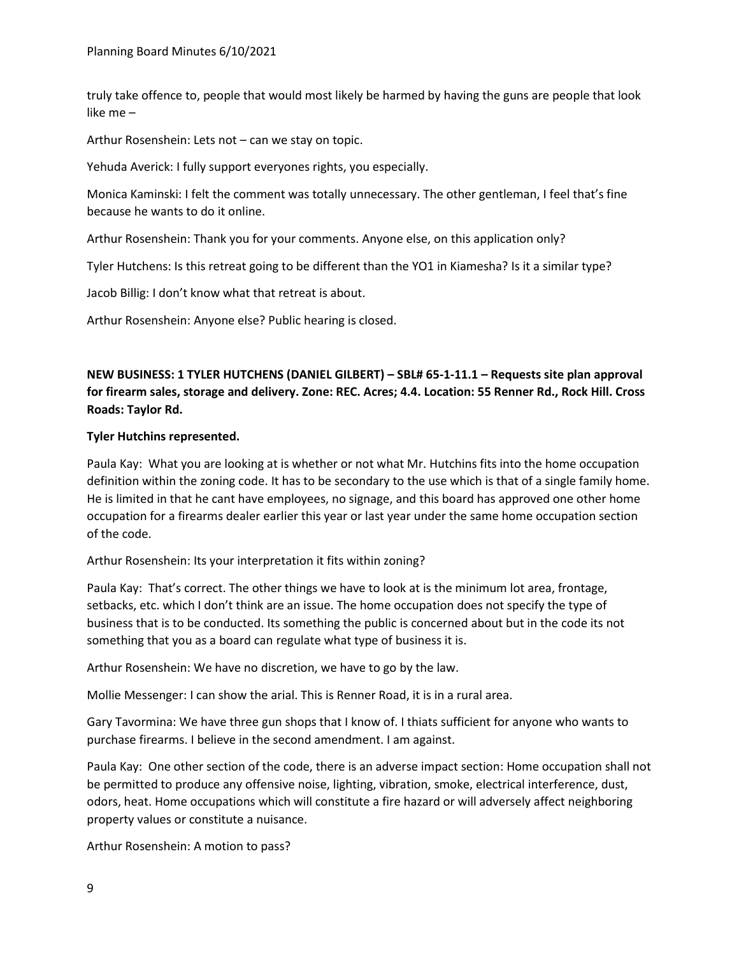truly take offence to, people that would most likely be harmed by having the guns are people that look like me –

Arthur Rosenshein: Lets not – can we stay on topic.

Yehuda Averick: I fully support everyones rights, you especially.

Monica Kaminski: I felt the comment was totally unnecessary. The other gentleman, I feel that's fine because he wants to do it online.

Arthur Rosenshein: Thank you for your comments. Anyone else, on this application only?

Tyler Hutchens: Is this retreat going to be different than the YO1 in Kiamesha? Is it a similar type?

Jacob Billig: I don't know what that retreat is about.

Arthur Rosenshein: Anyone else? Public hearing is closed.

# **NEW BUSINESS: 1 TYLER HUTCHENS (DANIEL GILBERT) – SBL# 65-1-11.1 – Requests site plan approval for firearm sales, storage and delivery. Zone: REC. Acres; 4.4. Location: 55 Renner Rd., Rock Hill. Cross Roads: Taylor Rd.**

### **Tyler Hutchins represented.**

Paula Kay: What you are looking at is whether or not what Mr. Hutchins fits into the home occupation definition within the zoning code. It has to be secondary to the use which is that of a single family home. He is limited in that he cant have employees, no signage, and this board has approved one other home occupation for a firearms dealer earlier this year or last year under the same home occupation section of the code.

Arthur Rosenshein: Its your interpretation it fits within zoning?

Paula Kay: That's correct. The other things we have to look at is the minimum lot area, frontage, setbacks, etc. which I don't think are an issue. The home occupation does not specify the type of business that is to be conducted. Its something the public is concerned about but in the code its not something that you as a board can regulate what type of business it is.

Arthur Rosenshein: We have no discretion, we have to go by the law.

Mollie Messenger: I can show the arial. This is Renner Road, it is in a rural area.

Gary Tavormina: We have three gun shops that I know of. I thiats sufficient for anyone who wants to purchase firearms. I believe in the second amendment. I am against.

Paula Kay: One other section of the code, there is an adverse impact section: Home occupation shall not be permitted to produce any offensive noise, lighting, vibration, smoke, electrical interference, dust, odors, heat. Home occupations which will constitute a fire hazard or will adversely affect neighboring property values or constitute a nuisance.

Arthur Rosenshein: A motion to pass?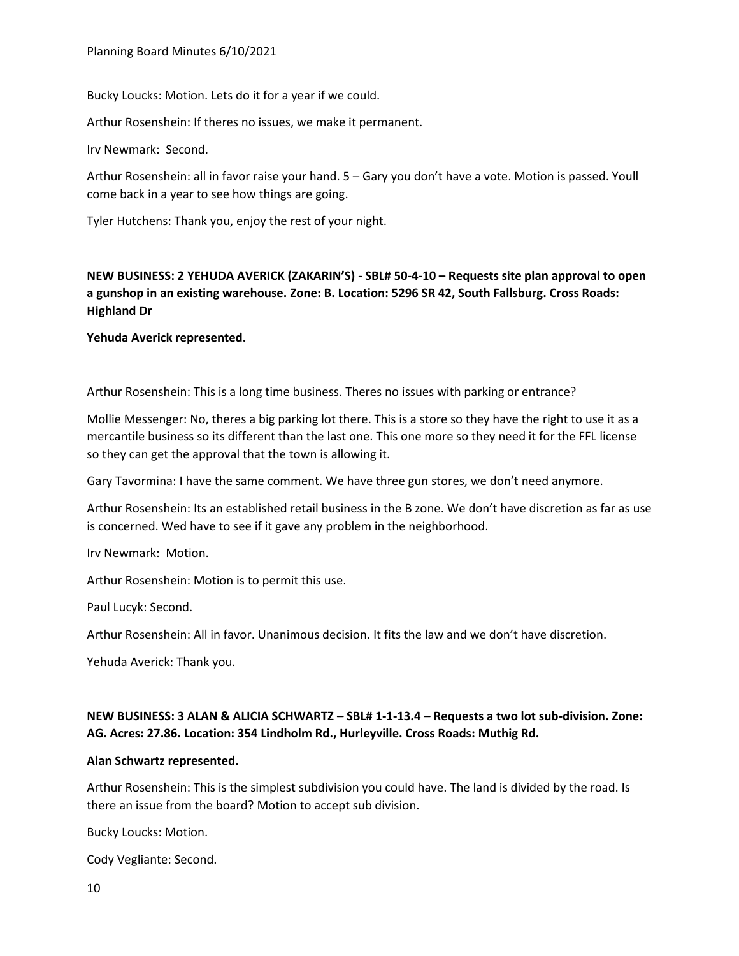Bucky Loucks: Motion. Lets do it for a year if we could.

Arthur Rosenshein: If theres no issues, we make it permanent.

Irv Newmark: Second.

Arthur Rosenshein: all in favor raise your hand. 5 – Gary you don't have a vote. Motion is passed. Youll come back in a year to see how things are going.

Tyler Hutchens: Thank you, enjoy the rest of your night.

# **NEW BUSINESS: 2 YEHUDA AVERICK (ZAKARIN'S) - SBL# 50-4-10 – Requests site plan approval to open a gunshop in an existing warehouse. Zone: B. Location: 5296 SR 42, South Fallsburg. Cross Roads: Highland Dr**

**Yehuda Averick represented.** 

Arthur Rosenshein: This is a long time business. Theres no issues with parking or entrance?

Mollie Messenger: No, theres a big parking lot there. This is a store so they have the right to use it as a mercantile business so its different than the last one. This one more so they need it for the FFL license so they can get the approval that the town is allowing it.

Gary Tavormina: I have the same comment. We have three gun stores, we don't need anymore.

Arthur Rosenshein: Its an established retail business in the B zone. We don't have discretion as far as use is concerned. Wed have to see if it gave any problem in the neighborhood.

Irv Newmark: Motion.

Arthur Rosenshein: Motion is to permit this use.

Paul Lucyk: Second.

Arthur Rosenshein: All in favor. Unanimous decision. It fits the law and we don't have discretion.

Yehuda Averick: Thank you.

# **NEW BUSINESS: 3 ALAN & ALICIA SCHWARTZ – SBL# 1-1-13.4 – Requests a two lot sub-division. Zone: AG. Acres: 27.86. Location: 354 Lindholm Rd., Hurleyville. Cross Roads: Muthig Rd.**

#### **Alan Schwartz represented.**

Arthur Rosenshein: This is the simplest subdivision you could have. The land is divided by the road. Is there an issue from the board? Motion to accept sub division.

Bucky Loucks: Motion.

Cody Vegliante: Second.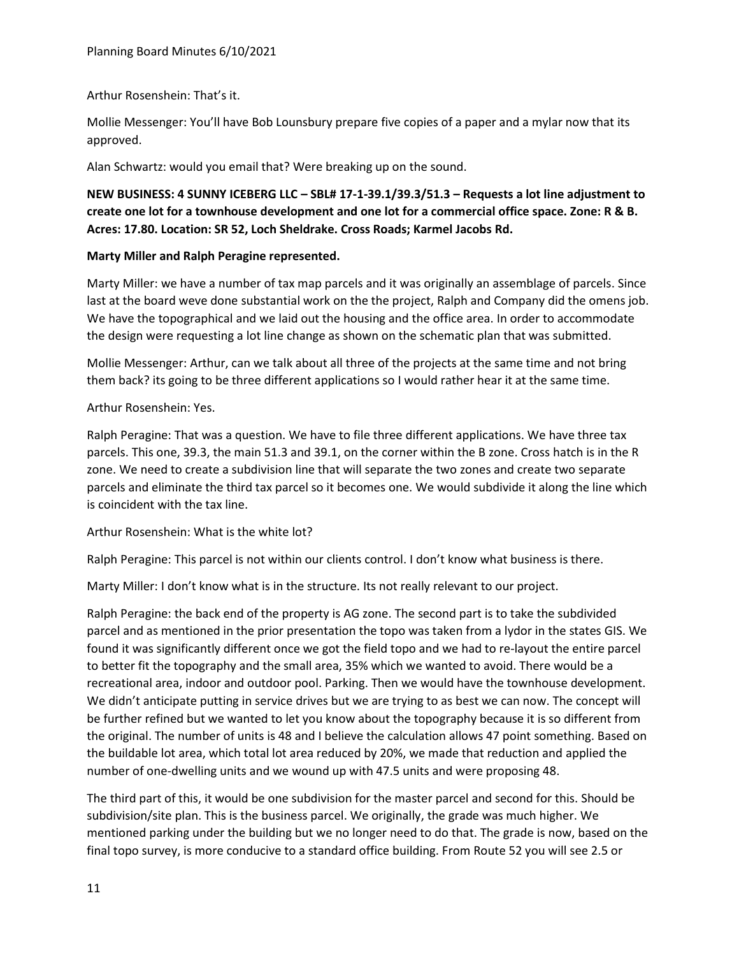### Arthur Rosenshein: That's it.

Mollie Messenger: You'll have Bob Lounsbury prepare five copies of a paper and a mylar now that its approved.

Alan Schwartz: would you email that? Were breaking up on the sound.

# **NEW BUSINESS: 4 SUNNY ICEBERG LLC – SBL# 17-1-39.1/39.3/51.3 – Requests a lot line adjustment to create one lot for a townhouse development and one lot for a commercial office space. Zone: R & B. Acres: 17.80. Location: SR 52, Loch Sheldrake. Cross Roads; Karmel Jacobs Rd.**

# **Marty Miller and Ralph Peragine represented.**

Marty Miller: we have a number of tax map parcels and it was originally an assemblage of parcels. Since last at the board weve done substantial work on the the project, Ralph and Company did the omens job. We have the topographical and we laid out the housing and the office area. In order to accommodate the design were requesting a lot line change as shown on the schematic plan that was submitted.

Mollie Messenger: Arthur, can we talk about all three of the projects at the same time and not bring them back? its going to be three different applications so I would rather hear it at the same time.

# Arthur Rosenshein: Yes.

Ralph Peragine: That was a question. We have to file three different applications. We have three tax parcels. This one, 39.3, the main 51.3 and 39.1, on the corner within the B zone. Cross hatch is in the R zone. We need to create a subdivision line that will separate the two zones and create two separate parcels and eliminate the third tax parcel so it becomes one. We would subdivide it along the line which is coincident with the tax line.

### Arthur Rosenshein: What is the white lot?

Ralph Peragine: This parcel is not within our clients control. I don't know what business is there.

Marty Miller: I don't know what is in the structure. Its not really relevant to our project.

Ralph Peragine: the back end of the property is AG zone. The second part is to take the subdivided parcel and as mentioned in the prior presentation the topo was taken from a lydor in the states GIS. We found it was significantly different once we got the field topo and we had to re-layout the entire parcel to better fit the topography and the small area, 35% which we wanted to avoid. There would be a recreational area, indoor and outdoor pool. Parking. Then we would have the townhouse development. We didn't anticipate putting in service drives but we are trying to as best we can now. The concept will be further refined but we wanted to let you know about the topography because it is so different from the original. The number of units is 48 and I believe the calculation allows 47 point something. Based on the buildable lot area, which total lot area reduced by 20%, we made that reduction and applied the number of one-dwelling units and we wound up with 47.5 units and were proposing 48.

The third part of this, it would be one subdivision for the master parcel and second for this. Should be subdivision/site plan. This is the business parcel. We originally, the grade was much higher. We mentioned parking under the building but we no longer need to do that. The grade is now, based on the final topo survey, is more conducive to a standard office building. From Route 52 you will see 2.5 or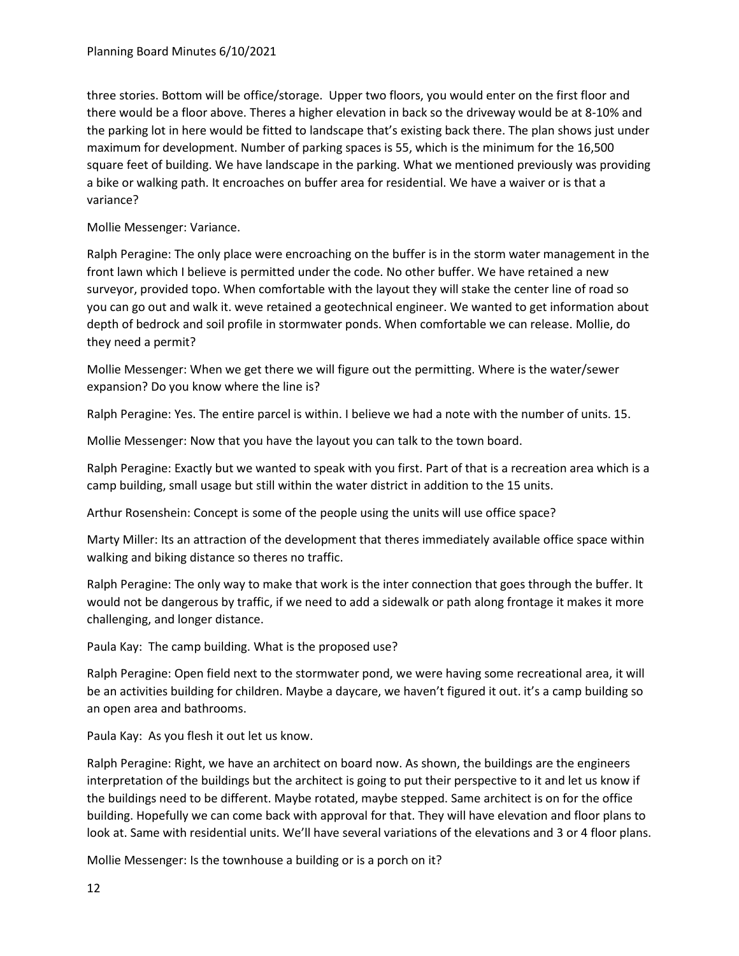three stories. Bottom will be office/storage. Upper two floors, you would enter on the first floor and there would be a floor above. Theres a higher elevation in back so the driveway would be at 8-10% and the parking lot in here would be fitted to landscape that's existing back there. The plan shows just under maximum for development. Number of parking spaces is 55, which is the minimum for the 16,500 square feet of building. We have landscape in the parking. What we mentioned previously was providing a bike or walking path. It encroaches on buffer area for residential. We have a waiver or is that a variance?

Mollie Messenger: Variance.

Ralph Peragine: The only place were encroaching on the buffer is in the storm water management in the front lawn which I believe is permitted under the code. No other buffer. We have retained a new surveyor, provided topo. When comfortable with the layout they will stake the center line of road so you can go out and walk it. weve retained a geotechnical engineer. We wanted to get information about depth of bedrock and soil profile in stormwater ponds. When comfortable we can release. Mollie, do they need a permit?

Mollie Messenger: When we get there we will figure out the permitting. Where is the water/sewer expansion? Do you know where the line is?

Ralph Peragine: Yes. The entire parcel is within. I believe we had a note with the number of units. 15.

Mollie Messenger: Now that you have the layout you can talk to the town board.

Ralph Peragine: Exactly but we wanted to speak with you first. Part of that is a recreation area which is a camp building, small usage but still within the water district in addition to the 15 units.

Arthur Rosenshein: Concept is some of the people using the units will use office space?

Marty Miller: Its an attraction of the development that theres immediately available office space within walking and biking distance so theres no traffic.

Ralph Peragine: The only way to make that work is the inter connection that goes through the buffer. It would not be dangerous by traffic, if we need to add a sidewalk or path along frontage it makes it more challenging, and longer distance.

Paula Kay: The camp building. What is the proposed use?

Ralph Peragine: Open field next to the stormwater pond, we were having some recreational area, it will be an activities building for children. Maybe a daycare, we haven't figured it out. it's a camp building so an open area and bathrooms.

Paula Kay: As you flesh it out let us know.

Ralph Peragine: Right, we have an architect on board now. As shown, the buildings are the engineers interpretation of the buildings but the architect is going to put their perspective to it and let us know if the buildings need to be different. Maybe rotated, maybe stepped. Same architect is on for the office building. Hopefully we can come back with approval for that. They will have elevation and floor plans to look at. Same with residential units. We'll have several variations of the elevations and 3 or 4 floor plans.

Mollie Messenger: Is the townhouse a building or is a porch on it?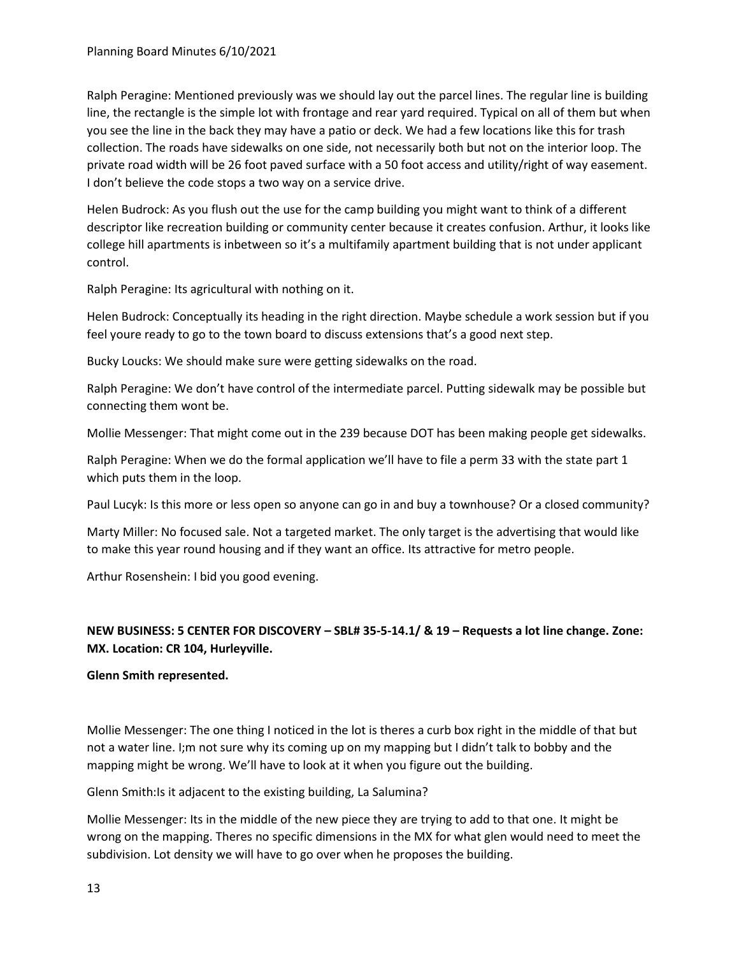Ralph Peragine: Mentioned previously was we should lay out the parcel lines. The regular line is building line, the rectangle is the simple lot with frontage and rear yard required. Typical on all of them but when you see the line in the back they may have a patio or deck. We had a few locations like this for trash collection. The roads have sidewalks on one side, not necessarily both but not on the interior loop. The private road width will be 26 foot paved surface with a 50 foot access and utility/right of way easement. I don't believe the code stops a two way on a service drive.

Helen Budrock: As you flush out the use for the camp building you might want to think of a different descriptor like recreation building or community center because it creates confusion. Arthur, it looks like college hill apartments is inbetween so it's a multifamily apartment building that is not under applicant control.

Ralph Peragine: Its agricultural with nothing on it.

Helen Budrock: Conceptually its heading in the right direction. Maybe schedule a work session but if you feel youre ready to go to the town board to discuss extensions that's a good next step.

Bucky Loucks: We should make sure were getting sidewalks on the road.

Ralph Peragine: We don't have control of the intermediate parcel. Putting sidewalk may be possible but connecting them wont be.

Mollie Messenger: That might come out in the 239 because DOT has been making people get sidewalks.

Ralph Peragine: When we do the formal application we'll have to file a perm 33 with the state part 1 which puts them in the loop.

Paul Lucyk: Is this more or less open so anyone can go in and buy a townhouse? Or a closed community?

Marty Miller: No focused sale. Not a targeted market. The only target is the advertising that would like to make this year round housing and if they want an office. Its attractive for metro people.

Arthur Rosenshein: I bid you good evening.

# **NEW BUSINESS: 5 CENTER FOR DISCOVERY – SBL# 35-5-14.1/ & 19 – Requests a lot line change. Zone: MX. Location: CR 104, Hurleyville.**

### **Glenn Smith represented.**

Mollie Messenger: The one thing I noticed in the lot is theres a curb box right in the middle of that but not a water line. I;m not sure why its coming up on my mapping but I didn't talk to bobby and the mapping might be wrong. We'll have to look at it when you figure out the building.

Glenn Smith:Is it adjacent to the existing building, La Salumina?

Mollie Messenger: Its in the middle of the new piece they are trying to add to that one. It might be wrong on the mapping. Theres no specific dimensions in the MX for what glen would need to meet the subdivision. Lot density we will have to go over when he proposes the building.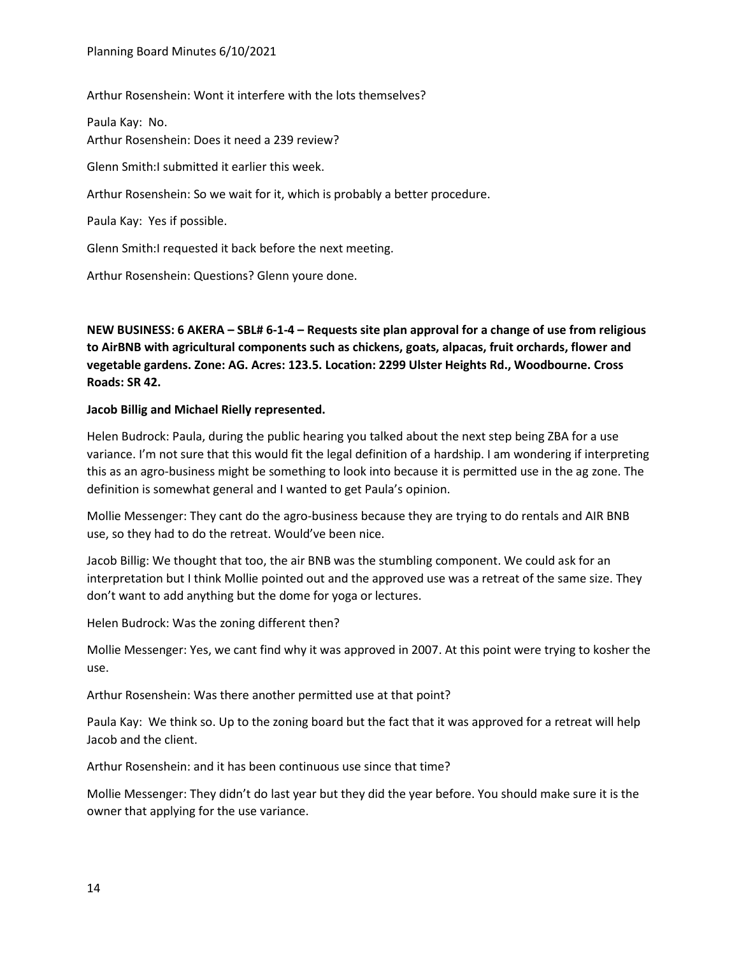Arthur Rosenshein: Wont it interfere with the lots themselves?

Paula Kay: No. Arthur Rosenshein: Does it need a 239 review?

Glenn Smith:I submitted it earlier this week.

Arthur Rosenshein: So we wait for it, which is probably a better procedure.

Paula Kay: Yes if possible.

Glenn Smith:I requested it back before the next meeting.

Arthur Rosenshein: Questions? Glenn youre done.

**NEW BUSINESS: 6 AKERA – SBL# 6-1-4 – Requests site plan approval for a change of use from religious to AirBNB with agricultural components such as chickens, goats, alpacas, fruit orchards, flower and vegetable gardens. Zone: AG. Acres: 123.5. Location: 2299 Ulster Heights Rd., Woodbourne. Cross Roads: SR 42.**

#### **Jacob Billig and Michael Rielly represented.**

Helen Budrock: Paula, during the public hearing you talked about the next step being ZBA for a use variance. I'm not sure that this would fit the legal definition of a hardship. I am wondering if interpreting this as an agro-business might be something to look into because it is permitted use in the ag zone. The definition is somewhat general and I wanted to get Paula's opinion.

Mollie Messenger: They cant do the agro-business because they are trying to do rentals and AIR BNB use, so they had to do the retreat. Would've been nice.

Jacob Billig: We thought that too, the air BNB was the stumbling component. We could ask for an interpretation but I think Mollie pointed out and the approved use was a retreat of the same size. They don't want to add anything but the dome for yoga or lectures.

Helen Budrock: Was the zoning different then?

Mollie Messenger: Yes, we cant find why it was approved in 2007. At this point were trying to kosher the use.

Arthur Rosenshein: Was there another permitted use at that point?

Paula Kay: We think so. Up to the zoning board but the fact that it was approved for a retreat will help Jacob and the client.

Arthur Rosenshein: and it has been continuous use since that time?

Mollie Messenger: They didn't do last year but they did the year before. You should make sure it is the owner that applying for the use variance.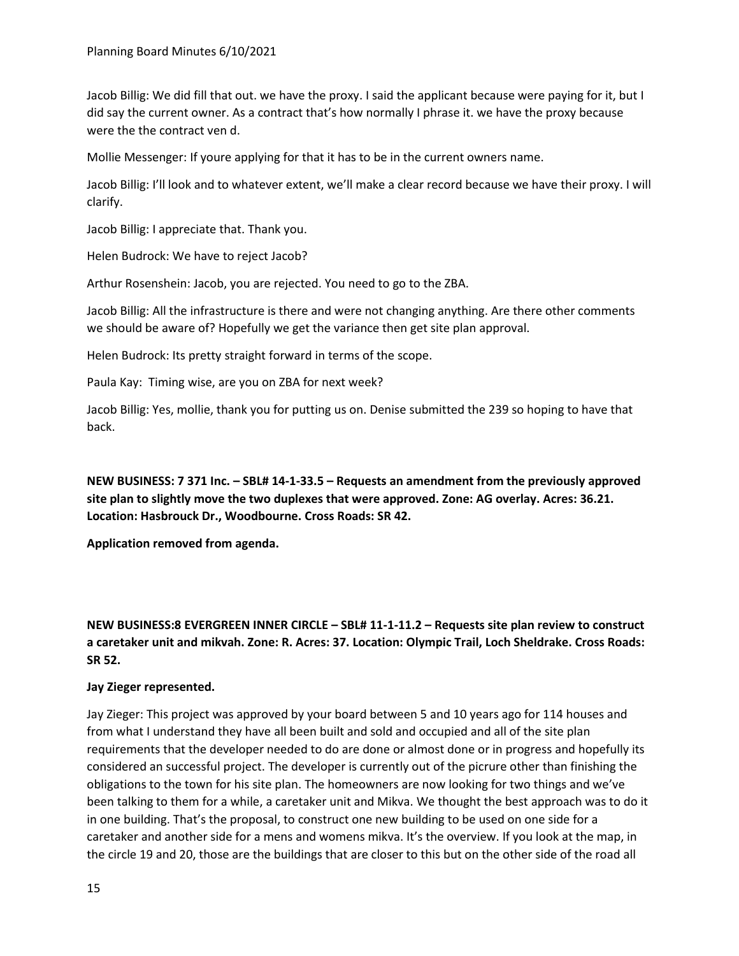Jacob Billig: We did fill that out. we have the proxy. I said the applicant because were paying for it, but I did say the current owner. As a contract that's how normally I phrase it. we have the proxy because were the the contract ven d.

Mollie Messenger: If youre applying for that it has to be in the current owners name.

Jacob Billig: I'll look and to whatever extent, we'll make a clear record because we have their proxy. I will clarify.

Jacob Billig: I appreciate that. Thank you.

Helen Budrock: We have to reject Jacob?

Arthur Rosenshein: Jacob, you are rejected. You need to go to the ZBA.

Jacob Billig: All the infrastructure is there and were not changing anything. Are there other comments we should be aware of? Hopefully we get the variance then get site plan approval.

Helen Budrock: Its pretty straight forward in terms of the scope.

Paula Kay: Timing wise, are you on ZBA for next week?

Jacob Billig: Yes, mollie, thank you for putting us on. Denise submitted the 239 so hoping to have that back.

**NEW BUSINESS: 7 371 Inc. – SBL# 14-1-33.5 – Requests an amendment from the previously approved site plan to slightly move the two duplexes that were approved. Zone: AG overlay. Acres: 36.21. Location: Hasbrouck Dr., Woodbourne. Cross Roads: SR 42.**

**Application removed from agenda.** 

**NEW BUSINESS:8 EVERGREEN INNER CIRCLE – SBL# 11-1-11.2 – Requests site plan review to construct a caretaker unit and mikvah. Zone: R. Acres: 37. Location: Olympic Trail, Loch Sheldrake. Cross Roads: SR 52.**

#### **Jay Zieger represented.**

Jay Zieger: This project was approved by your board between 5 and 10 years ago for 114 houses and from what I understand they have all been built and sold and occupied and all of the site plan requirements that the developer needed to do are done or almost done or in progress and hopefully its considered an successful project. The developer is currently out of the picrure other than finishing the obligations to the town for his site plan. The homeowners are now looking for two things and we've been talking to them for a while, a caretaker unit and Mikva. We thought the best approach was to do it in one building. That's the proposal, to construct one new building to be used on one side for a caretaker and another side for a mens and womens mikva. It's the overview. If you look at the map, in the circle 19 and 20, those are the buildings that are closer to this but on the other side of the road all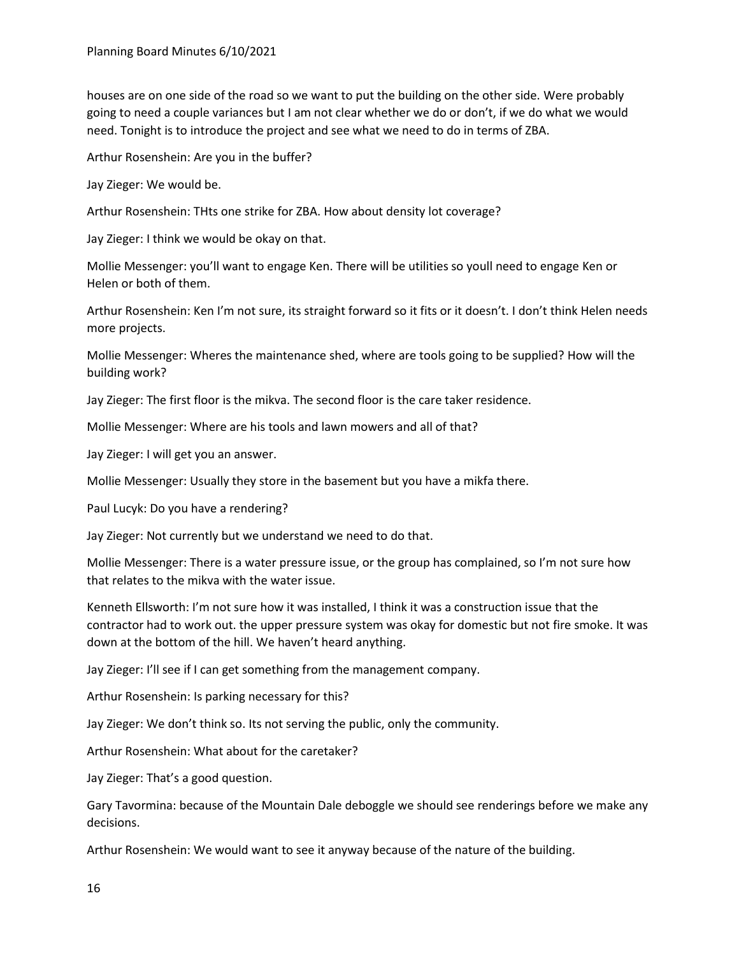houses are on one side of the road so we want to put the building on the other side. Were probably going to need a couple variances but I am not clear whether we do or don't, if we do what we would need. Tonight is to introduce the project and see what we need to do in terms of ZBA.

Arthur Rosenshein: Are you in the buffer?

Jay Zieger: We would be.

Arthur Rosenshein: THts one strike for ZBA. How about density lot coverage?

Jay Zieger: I think we would be okay on that.

Mollie Messenger: you'll want to engage Ken. There will be utilities so youll need to engage Ken or Helen or both of them.

Arthur Rosenshein: Ken I'm not sure, its straight forward so it fits or it doesn't. I don't think Helen needs more projects.

Mollie Messenger: Wheres the maintenance shed, where are tools going to be supplied? How will the building work?

Jay Zieger: The first floor is the mikva. The second floor is the care taker residence.

Mollie Messenger: Where are his tools and lawn mowers and all of that?

Jay Zieger: I will get you an answer.

Mollie Messenger: Usually they store in the basement but you have a mikfa there.

Paul Lucyk: Do you have a rendering?

Jay Zieger: Not currently but we understand we need to do that.

Mollie Messenger: There is a water pressure issue, or the group has complained, so I'm not sure how that relates to the mikva with the water issue.

Kenneth Ellsworth: I'm not sure how it was installed, I think it was a construction issue that the contractor had to work out. the upper pressure system was okay for domestic but not fire smoke. It was down at the bottom of the hill. We haven't heard anything.

Jay Zieger: I'll see if I can get something from the management company.

Arthur Rosenshein: Is parking necessary for this?

Jay Zieger: We don't think so. Its not serving the public, only the community.

Arthur Rosenshein: What about for the caretaker?

Jay Zieger: That's a good question.

Gary Tavormina: because of the Mountain Dale deboggle we should see renderings before we make any decisions.

Arthur Rosenshein: We would want to see it anyway because of the nature of the building.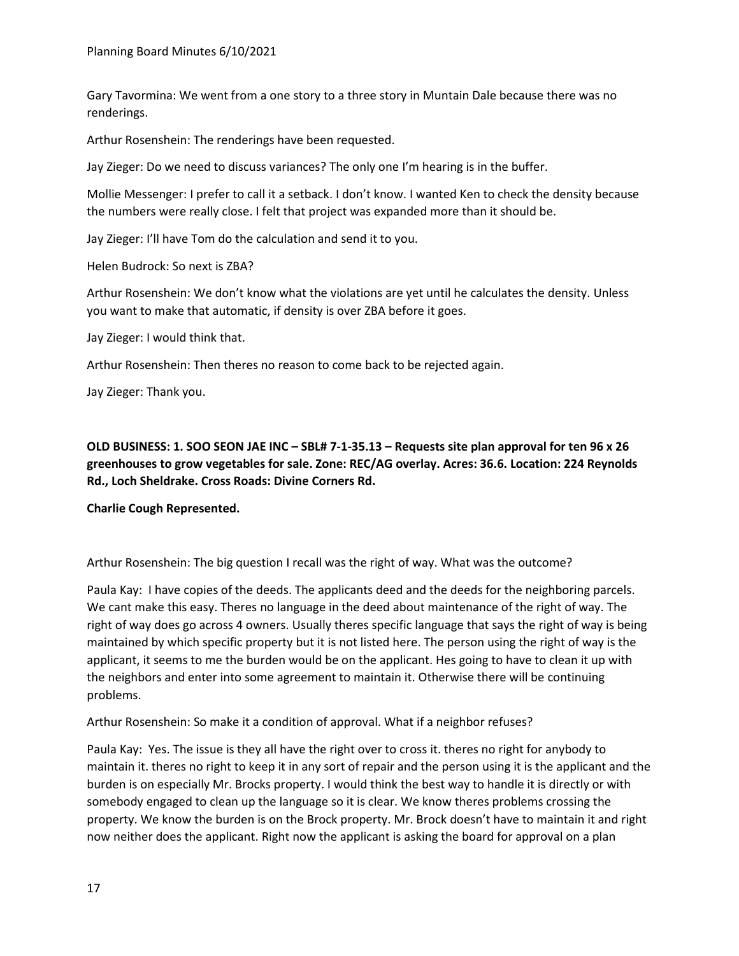Gary Tavormina: We went from a one story to a three story in Muntain Dale because there was no renderings.

Arthur Rosenshein: The renderings have been requested.

Jay Zieger: Do we need to discuss variances? The only one I'm hearing is in the buffer.

Mollie Messenger: I prefer to call it a setback. I don't know. I wanted Ken to check the density because the numbers were really close. I felt that project was expanded more than it should be.

Jay Zieger: I'll have Tom do the calculation and send it to you.

Helen Budrock: So next is ZBA?

Arthur Rosenshein: We don't know what the violations are yet until he calculates the density. Unless you want to make that automatic, if density is over ZBA before it goes.

Jay Zieger: I would think that.

Arthur Rosenshein: Then theres no reason to come back to be rejected again.

Jay Zieger: Thank you.

**OLD BUSINESS: 1. SOO SEON JAE INC – SBL# 7-1-35.13 – Requests site plan approval for ten 96 x 26 greenhouses to grow vegetables for sale. Zone: REC/AG overlay. Acres: 36.6. Location: 224 Reynolds Rd., Loch Sheldrake. Cross Roads: Divine Corners Rd.**

**Charlie Cough Represented.** 

Arthur Rosenshein: The big question I recall was the right of way. What was the outcome?

Paula Kay: I have copies of the deeds. The applicants deed and the deeds for the neighboring parcels. We cant make this easy. Theres no language in the deed about maintenance of the right of way. The right of way does go across 4 owners. Usually theres specific language that says the right of way is being maintained by which specific property but it is not listed here. The person using the right of way is the applicant, it seems to me the burden would be on the applicant. Hes going to have to clean it up with the neighbors and enter into some agreement to maintain it. Otherwise there will be continuing problems.

Arthur Rosenshein: So make it a condition of approval. What if a neighbor refuses?

Paula Kay: Yes. The issue is they all have the right over to cross it. theres no right for anybody to maintain it. theres no right to keep it in any sort of repair and the person using it is the applicant and the burden is on especially Mr. Brocks property. I would think the best way to handle it is directly or with somebody engaged to clean up the language so it is clear. We know theres problems crossing the property. We know the burden is on the Brock property. Mr. Brock doesn't have to maintain it and right now neither does the applicant. Right now the applicant is asking the board for approval on a plan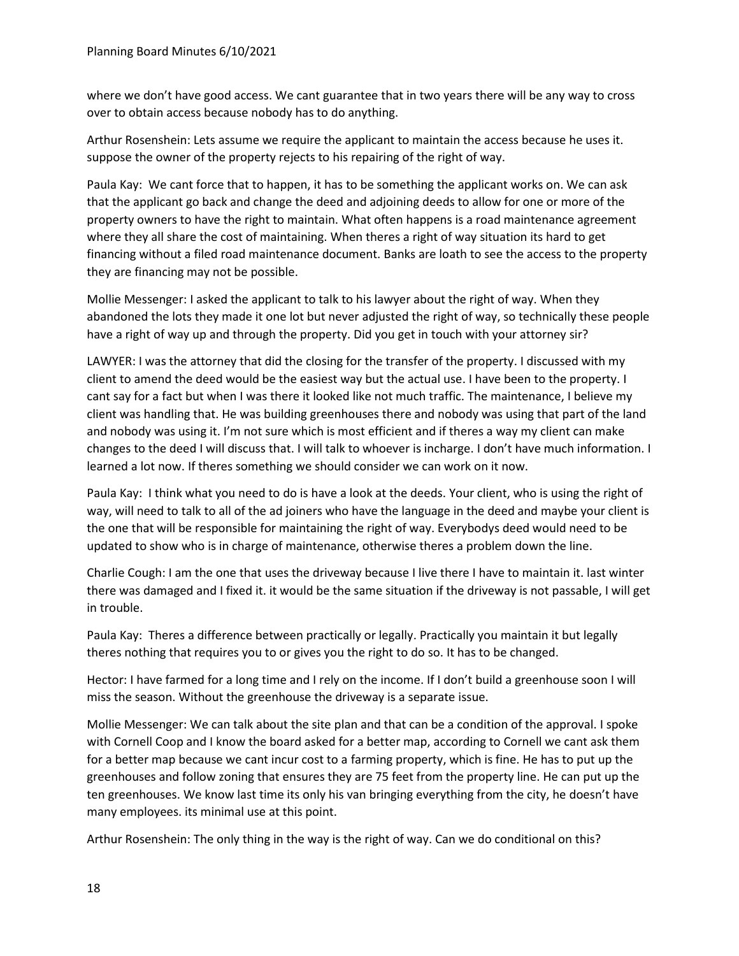where we don't have good access. We cant guarantee that in two years there will be any way to cross over to obtain access because nobody has to do anything.

Arthur Rosenshein: Lets assume we require the applicant to maintain the access because he uses it. suppose the owner of the property rejects to his repairing of the right of way.

Paula Kay: We cant force that to happen, it has to be something the applicant works on. We can ask that the applicant go back and change the deed and adjoining deeds to allow for one or more of the property owners to have the right to maintain. What often happens is a road maintenance agreement where they all share the cost of maintaining. When theres a right of way situation its hard to get financing without a filed road maintenance document. Banks are loath to see the access to the property they are financing may not be possible.

Mollie Messenger: I asked the applicant to talk to his lawyer about the right of way. When they abandoned the lots they made it one lot but never adjusted the right of way, so technically these people have a right of way up and through the property. Did you get in touch with your attorney sir?

LAWYER: I was the attorney that did the closing for the transfer of the property. I discussed with my client to amend the deed would be the easiest way but the actual use. I have been to the property. I cant say for a fact but when I was there it looked like not much traffic. The maintenance, I believe my client was handling that. He was building greenhouses there and nobody was using that part of the land and nobody was using it. I'm not sure which is most efficient and if theres a way my client can make changes to the deed I will discuss that. I will talk to whoever is incharge. I don't have much information. I learned a lot now. If theres something we should consider we can work on it now.

Paula Kay: I think what you need to do is have a look at the deeds. Your client, who is using the right of way, will need to talk to all of the ad joiners who have the language in the deed and maybe your client is the one that will be responsible for maintaining the right of way. Everybodys deed would need to be updated to show who is in charge of maintenance, otherwise theres a problem down the line.

Charlie Cough: I am the one that uses the driveway because I live there I have to maintain it. last winter there was damaged and I fixed it. it would be the same situation if the driveway is not passable, I will get in trouble.

Paula Kay: Theres a difference between practically or legally. Practically you maintain it but legally theres nothing that requires you to or gives you the right to do so. It has to be changed.

Hector: I have farmed for a long time and I rely on the income. If I don't build a greenhouse soon I will miss the season. Without the greenhouse the driveway is a separate issue.

Mollie Messenger: We can talk about the site plan and that can be a condition of the approval. I spoke with Cornell Coop and I know the board asked for a better map, according to Cornell we cant ask them for a better map because we cant incur cost to a farming property, which is fine. He has to put up the greenhouses and follow zoning that ensures they are 75 feet from the property line. He can put up the ten greenhouses. We know last time its only his van bringing everything from the city, he doesn't have many employees. its minimal use at this point.

Arthur Rosenshein: The only thing in the way is the right of way. Can we do conditional on this?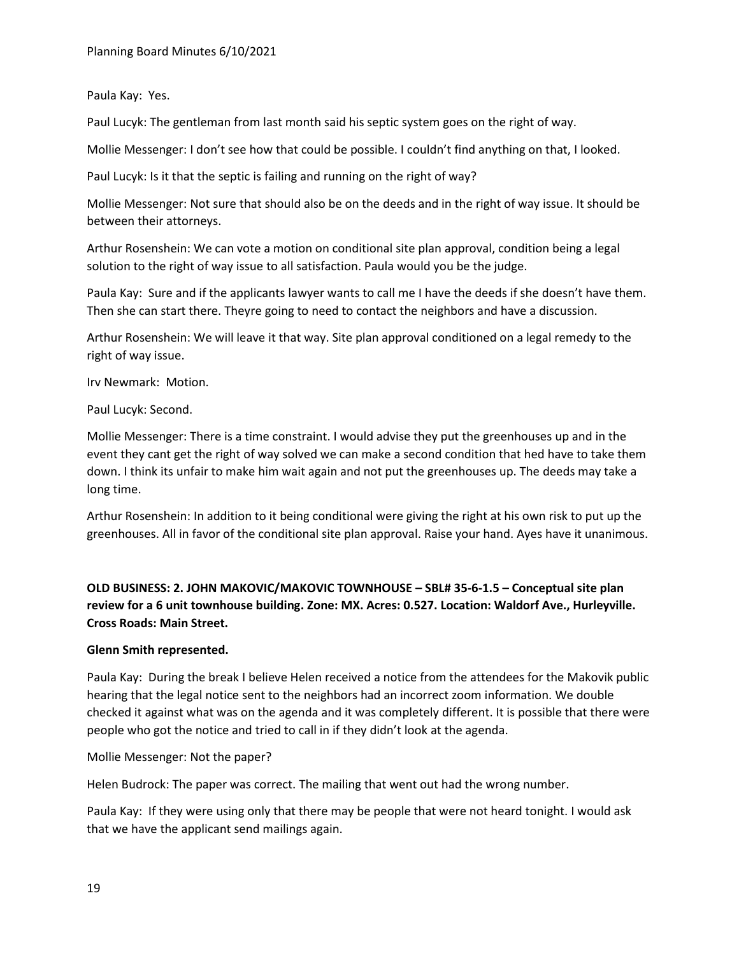Paula Kay: Yes.

Paul Lucyk: The gentleman from last month said his septic system goes on the right of way.

Mollie Messenger: I don't see how that could be possible. I couldn't find anything on that, I looked.

Paul Lucyk: Is it that the septic is failing and running on the right of way?

Mollie Messenger: Not sure that should also be on the deeds and in the right of way issue. It should be between their attorneys.

Arthur Rosenshein: We can vote a motion on conditional site plan approval, condition being a legal solution to the right of way issue to all satisfaction. Paula would you be the judge.

Paula Kay: Sure and if the applicants lawyer wants to call me I have the deeds if she doesn't have them. Then she can start there. Theyre going to need to contact the neighbors and have a discussion.

Arthur Rosenshein: We will leave it that way. Site plan approval conditioned on a legal remedy to the right of way issue.

Irv Newmark: Motion.

Paul Lucyk: Second.

Mollie Messenger: There is a time constraint. I would advise they put the greenhouses up and in the event they cant get the right of way solved we can make a second condition that hed have to take them down. I think its unfair to make him wait again and not put the greenhouses up. The deeds may take a long time.

Arthur Rosenshein: In addition to it being conditional were giving the right at his own risk to put up the greenhouses. All in favor of the conditional site plan approval. Raise your hand. Ayes have it unanimous.

# **OLD BUSINESS: 2. JOHN MAKOVIC/MAKOVIC TOWNHOUSE – SBL# 35-6-1.5 – Conceptual site plan review for a 6 unit townhouse building. Zone: MX. Acres: 0.527. Location: Waldorf Ave., Hurleyville. Cross Roads: Main Street.**

### **Glenn Smith represented.**

Paula Kay: During the break I believe Helen received a notice from the attendees for the Makovik public hearing that the legal notice sent to the neighbors had an incorrect zoom information. We double checked it against what was on the agenda and it was completely different. It is possible that there were people who got the notice and tried to call in if they didn't look at the agenda.

# Mollie Messenger: Not the paper?

Helen Budrock: The paper was correct. The mailing that went out had the wrong number.

Paula Kay: If they were using only that there may be people that were not heard tonight. I would ask that we have the applicant send mailings again.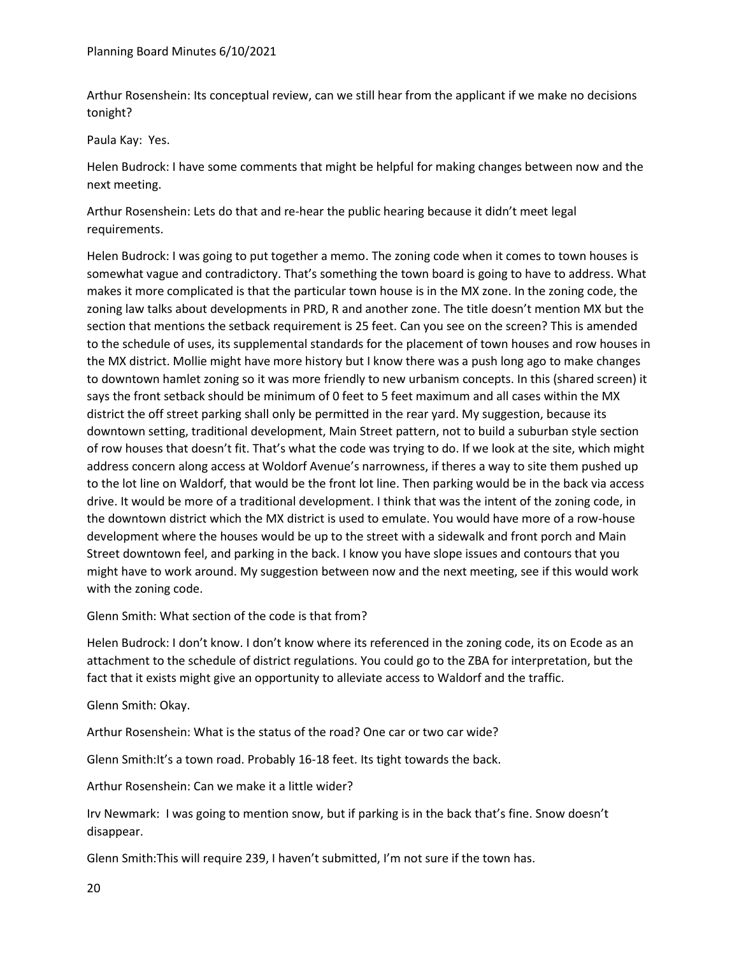Arthur Rosenshein: Its conceptual review, can we still hear from the applicant if we make no decisions tonight?

Paula Kay: Yes.

Helen Budrock: I have some comments that might be helpful for making changes between now and the next meeting.

Arthur Rosenshein: Lets do that and re-hear the public hearing because it didn't meet legal requirements.

Helen Budrock: I was going to put together a memo. The zoning code when it comes to town houses is somewhat vague and contradictory. That's something the town board is going to have to address. What makes it more complicated is that the particular town house is in the MX zone. In the zoning code, the zoning law talks about developments in PRD, R and another zone. The title doesn't mention MX but the section that mentions the setback requirement is 25 feet. Can you see on the screen? This is amended to the schedule of uses, its supplemental standards for the placement of town houses and row houses in the MX district. Mollie might have more history but I know there was a push long ago to make changes to downtown hamlet zoning so it was more friendly to new urbanism concepts. In this (shared screen) it says the front setback should be minimum of 0 feet to 5 feet maximum and all cases within the MX district the off street parking shall only be permitted in the rear yard. My suggestion, because its downtown setting, traditional development, Main Street pattern, not to build a suburban style section of row houses that doesn't fit. That's what the code was trying to do. If we look at the site, which might address concern along access at Woldorf Avenue's narrowness, if theres a way to site them pushed up to the lot line on Waldorf, that would be the front lot line. Then parking would be in the back via access drive. It would be more of a traditional development. I think that was the intent of the zoning code, in the downtown district which the MX district is used to emulate. You would have more of a row-house development where the houses would be up to the street with a sidewalk and front porch and Main Street downtown feel, and parking in the back. I know you have slope issues and contours that you might have to work around. My suggestion between now and the next meeting, see if this would work with the zoning code.

Glenn Smith: What section of the code is that from?

Helen Budrock: I don't know. I don't know where its referenced in the zoning code, its on Ecode as an attachment to the schedule of district regulations. You could go to the ZBA for interpretation, but the fact that it exists might give an opportunity to alleviate access to Waldorf and the traffic.

Glenn Smith: Okay.

Arthur Rosenshein: What is the status of the road? One car or two car wide?

Glenn Smith:It's a town road. Probably 16-18 feet. Its tight towards the back.

Arthur Rosenshein: Can we make it a little wider?

Irv Newmark: I was going to mention snow, but if parking is in the back that's fine. Snow doesn't disappear.

Glenn Smith:This will require 239, I haven't submitted, I'm not sure if the town has.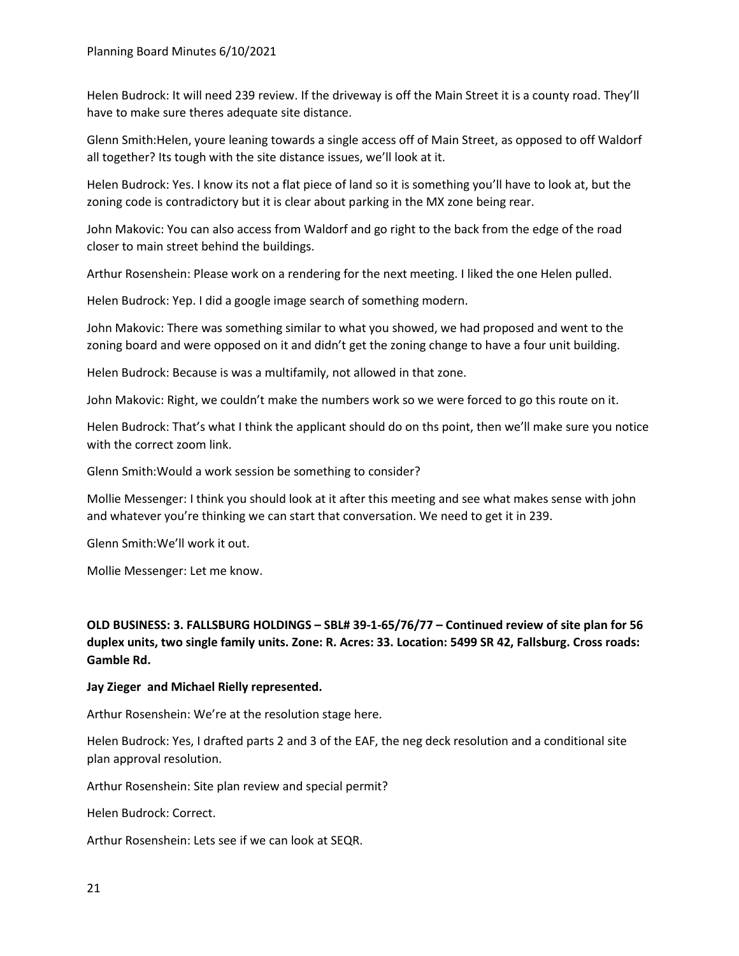Helen Budrock: It will need 239 review. If the driveway is off the Main Street it is a county road. They'll have to make sure theres adequate site distance.

Glenn Smith:Helen, youre leaning towards a single access off of Main Street, as opposed to off Waldorf all together? Its tough with the site distance issues, we'll look at it.

Helen Budrock: Yes. I know its not a flat piece of land so it is something you'll have to look at, but the zoning code is contradictory but it is clear about parking in the MX zone being rear.

John Makovic: You can also access from Waldorf and go right to the back from the edge of the road closer to main street behind the buildings.

Arthur Rosenshein: Please work on a rendering for the next meeting. I liked the one Helen pulled.

Helen Budrock: Yep. I did a google image search of something modern.

John Makovic: There was something similar to what you showed, we had proposed and went to the zoning board and were opposed on it and didn't get the zoning change to have a four unit building.

Helen Budrock: Because is was a multifamily, not allowed in that zone.

John Makovic: Right, we couldn't make the numbers work so we were forced to go this route on it.

Helen Budrock: That's what I think the applicant should do on ths point, then we'll make sure you notice with the correct zoom link.

Glenn Smith:Would a work session be something to consider?

Mollie Messenger: I think you should look at it after this meeting and see what makes sense with john and whatever you're thinking we can start that conversation. We need to get it in 239.

Glenn Smith:We'll work it out.

Mollie Messenger: Let me know.

# **OLD BUSINESS: 3. FALLSBURG HOLDINGS – SBL# 39-1-65/76/77 – Continued review of site plan for 56 duplex units, two single family units. Zone: R. Acres: 33. Location: 5499 SR 42, Fallsburg. Cross roads: Gamble Rd.**

### **Jay Zieger and Michael Rielly represented.**

Arthur Rosenshein: We're at the resolution stage here.

Helen Budrock: Yes, I drafted parts 2 and 3 of the EAF, the neg deck resolution and a conditional site plan approval resolution.

Arthur Rosenshein: Site plan review and special permit?

Helen Budrock: Correct.

Arthur Rosenshein: Lets see if we can look at SEQR.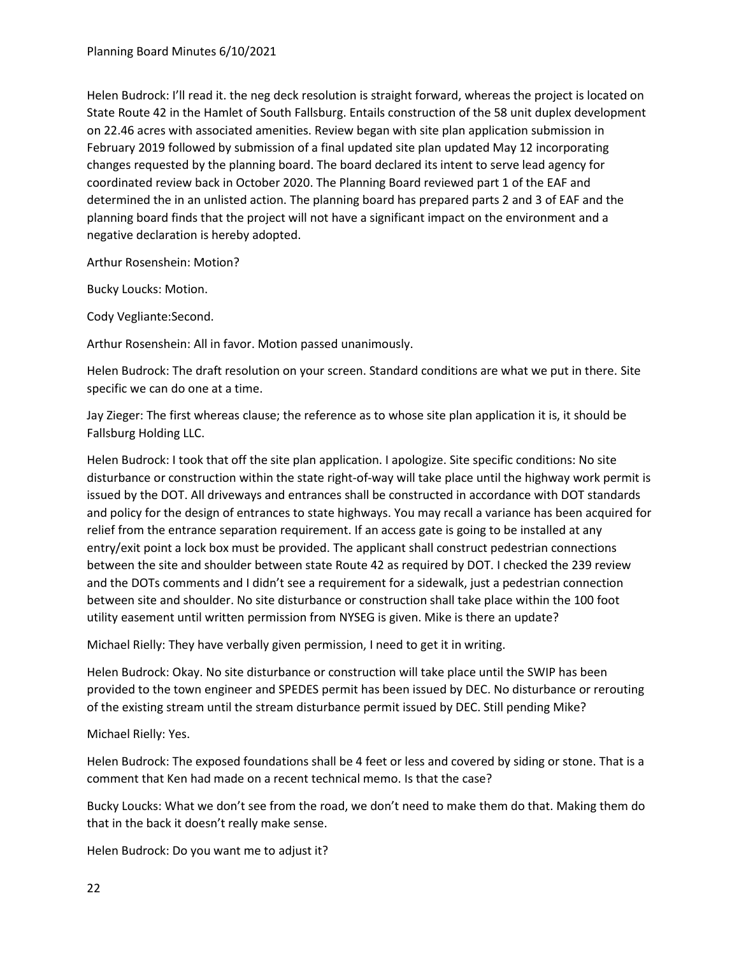Helen Budrock: I'll read it. the neg deck resolution is straight forward, whereas the project is located on State Route 42 in the Hamlet of South Fallsburg. Entails construction of the 58 unit duplex development on 22.46 acres with associated amenities. Review began with site plan application submission in February 2019 followed by submission of a final updated site plan updated May 12 incorporating changes requested by the planning board. The board declared its intent to serve lead agency for coordinated review back in October 2020. The Planning Board reviewed part 1 of the EAF and determined the in an unlisted action. The planning board has prepared parts 2 and 3 of EAF and the planning board finds that the project will not have a significant impact on the environment and a negative declaration is hereby adopted.

Arthur Rosenshein: Motion?

Bucky Loucks: Motion.

Cody Vegliante:Second.

Arthur Rosenshein: All in favor. Motion passed unanimously.

Helen Budrock: The draft resolution on your screen. Standard conditions are what we put in there. Site specific we can do one at a time.

Jay Zieger: The first whereas clause; the reference as to whose site plan application it is, it should be Fallsburg Holding LLC.

Helen Budrock: I took that off the site plan application. I apologize. Site specific conditions: No site disturbance or construction within the state right-of-way will take place until the highway work permit is issued by the DOT. All driveways and entrances shall be constructed in accordance with DOT standards and policy for the design of entrances to state highways. You may recall a variance has been acquired for relief from the entrance separation requirement. If an access gate is going to be installed at any entry/exit point a lock box must be provided. The applicant shall construct pedestrian connections between the site and shoulder between state Route 42 as required by DOT. I checked the 239 review and the DOTs comments and I didn't see a requirement for a sidewalk, just a pedestrian connection between site and shoulder. No site disturbance or construction shall take place within the 100 foot utility easement until written permission from NYSEG is given. Mike is there an update?

Michael Rielly: They have verbally given permission, I need to get it in writing.

Helen Budrock: Okay. No site disturbance or construction will take place until the SWIP has been provided to the town engineer and SPEDES permit has been issued by DEC. No disturbance or rerouting of the existing stream until the stream disturbance permit issued by DEC. Still pending Mike?

Michael Rielly: Yes.

Helen Budrock: The exposed foundations shall be 4 feet or less and covered by siding or stone. That is a comment that Ken had made on a recent technical memo. Is that the case?

Bucky Loucks: What we don't see from the road, we don't need to make them do that. Making them do that in the back it doesn't really make sense.

Helen Budrock: Do you want me to adjust it?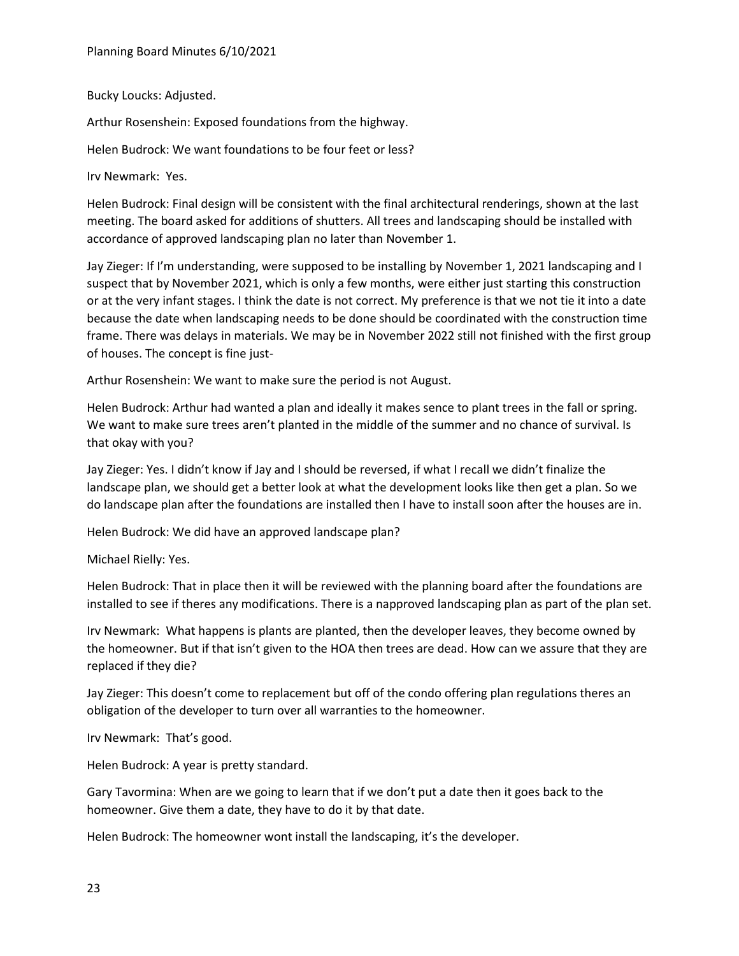Bucky Loucks: Adjusted.

Arthur Rosenshein: Exposed foundations from the highway.

Helen Budrock: We want foundations to be four feet or less?

Irv Newmark: Yes.

Helen Budrock: Final design will be consistent with the final architectural renderings, shown at the last meeting. The board asked for additions of shutters. All trees and landscaping should be installed with accordance of approved landscaping plan no later than November 1.

Jay Zieger: If I'm understanding, were supposed to be installing by November 1, 2021 landscaping and I suspect that by November 2021, which is only a few months, were either just starting this construction or at the very infant stages. I think the date is not correct. My preference is that we not tie it into a date because the date when landscaping needs to be done should be coordinated with the construction time frame. There was delays in materials. We may be in November 2022 still not finished with the first group of houses. The concept is fine just-

Arthur Rosenshein: We want to make sure the period is not August.

Helen Budrock: Arthur had wanted a plan and ideally it makes sence to plant trees in the fall or spring. We want to make sure trees aren't planted in the middle of the summer and no chance of survival. Is that okay with you?

Jay Zieger: Yes. I didn't know if Jay and I should be reversed, if what I recall we didn't finalize the landscape plan, we should get a better look at what the development looks like then get a plan. So we do landscape plan after the foundations are installed then I have to install soon after the houses are in.

Helen Budrock: We did have an approved landscape plan?

Michael Rielly: Yes.

Helen Budrock: That in place then it will be reviewed with the planning board after the foundations are installed to see if theres any modifications. There is a napproved landscaping plan as part of the plan set.

Irv Newmark: What happens is plants are planted, then the developer leaves, they become owned by the homeowner. But if that isn't given to the HOA then trees are dead. How can we assure that they are replaced if they die?

Jay Zieger: This doesn't come to replacement but off of the condo offering plan regulations theres an obligation of the developer to turn over all warranties to the homeowner.

Irv Newmark: That's good.

Helen Budrock: A year is pretty standard.

Gary Tavormina: When are we going to learn that if we don't put a date then it goes back to the homeowner. Give them a date, they have to do it by that date.

Helen Budrock: The homeowner wont install the landscaping, it's the developer.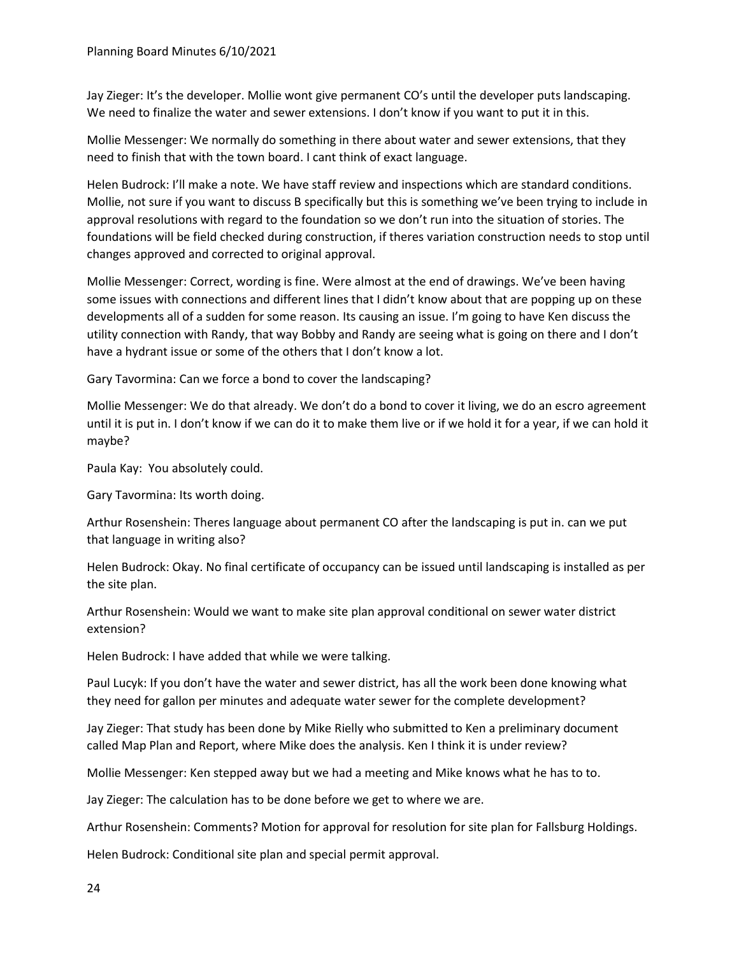Jay Zieger: It's the developer. Mollie wont give permanent CO's until the developer puts landscaping. We need to finalize the water and sewer extensions. I don't know if you want to put it in this.

Mollie Messenger: We normally do something in there about water and sewer extensions, that they need to finish that with the town board. I cant think of exact language.

Helen Budrock: I'll make a note. We have staff review and inspections which are standard conditions. Mollie, not sure if you want to discuss B specifically but this is something we've been trying to include in approval resolutions with regard to the foundation so we don't run into the situation of stories. The foundations will be field checked during construction, if theres variation construction needs to stop until changes approved and corrected to original approval.

Mollie Messenger: Correct, wording is fine. Were almost at the end of drawings. We've been having some issues with connections and different lines that I didn't know about that are popping up on these developments all of a sudden for some reason. Its causing an issue. I'm going to have Ken discuss the utility connection with Randy, that way Bobby and Randy are seeing what is going on there and I don't have a hydrant issue or some of the others that I don't know a lot.

Gary Tavormina: Can we force a bond to cover the landscaping?

Mollie Messenger: We do that already. We don't do a bond to cover it living, we do an escro agreement until it is put in. I don't know if we can do it to make them live or if we hold it for a year, if we can hold it maybe?

Paula Kay: You absolutely could.

Gary Tavormina: Its worth doing.

Arthur Rosenshein: Theres language about permanent CO after the landscaping is put in. can we put that language in writing also?

Helen Budrock: Okay. No final certificate of occupancy can be issued until landscaping is installed as per the site plan.

Arthur Rosenshein: Would we want to make site plan approval conditional on sewer water district extension?

Helen Budrock: I have added that while we were talking.

Paul Lucyk: If you don't have the water and sewer district, has all the work been done knowing what they need for gallon per minutes and adequate water sewer for the complete development?

Jay Zieger: That study has been done by Mike Rielly who submitted to Ken a preliminary document called Map Plan and Report, where Mike does the analysis. Ken I think it is under review?

Mollie Messenger: Ken stepped away but we had a meeting and Mike knows what he has to to.

Jay Zieger: The calculation has to be done before we get to where we are.

Arthur Rosenshein: Comments? Motion for approval for resolution for site plan for Fallsburg Holdings.

Helen Budrock: Conditional site plan and special permit approval.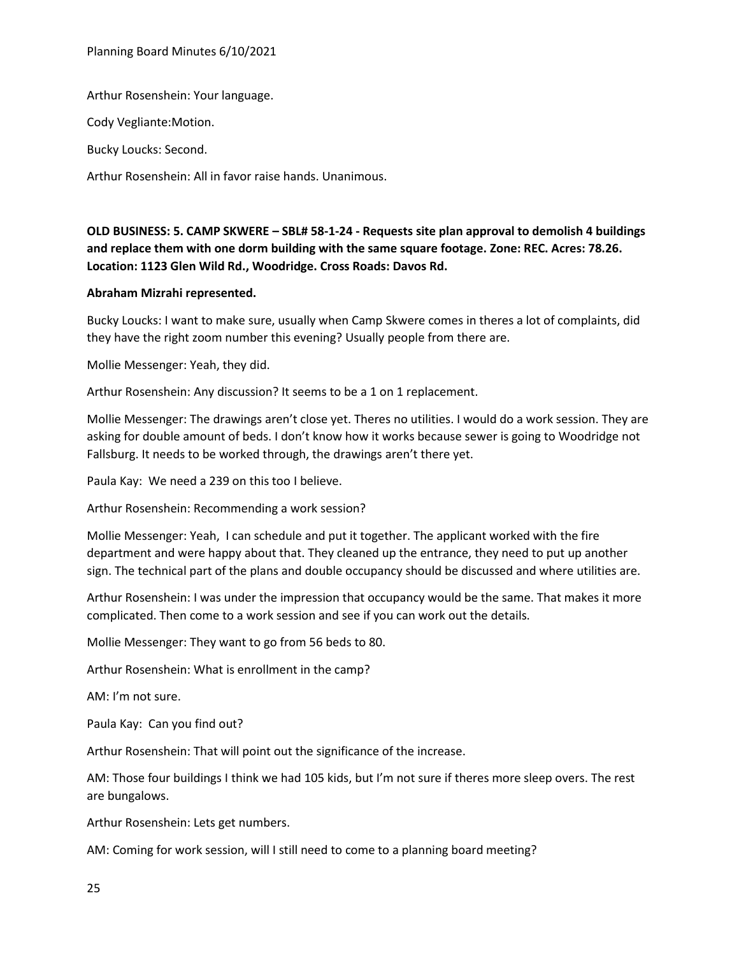Planning Board Minutes 6/10/2021

Arthur Rosenshein: Your language.

Cody Vegliante:Motion.

Bucky Loucks: Second.

Arthur Rosenshein: All in favor raise hands. Unanimous.

**OLD BUSINESS: 5. CAMP SKWERE – SBL# 58-1-24 - Requests site plan approval to demolish 4 buildings and replace them with one dorm building with the same square footage. Zone: REC. Acres: 78.26. Location: 1123 Glen Wild Rd., Woodridge. Cross Roads: Davos Rd.** 

#### **Abraham Mizrahi represented.**

Bucky Loucks: I want to make sure, usually when Camp Skwere comes in theres a lot of complaints, did they have the right zoom number this evening? Usually people from there are.

Mollie Messenger: Yeah, they did.

Arthur Rosenshein: Any discussion? It seems to be a 1 on 1 replacement.

Mollie Messenger: The drawings aren't close yet. Theres no utilities. I would do a work session. They are asking for double amount of beds. I don't know how it works because sewer is going to Woodridge not Fallsburg. It needs to be worked through, the drawings aren't there yet.

Paula Kay: We need a 239 on this too I believe.

Arthur Rosenshein: Recommending a work session?

Mollie Messenger: Yeah, I can schedule and put it together. The applicant worked with the fire department and were happy about that. They cleaned up the entrance, they need to put up another sign. The technical part of the plans and double occupancy should be discussed and where utilities are.

Arthur Rosenshein: I was under the impression that occupancy would be the same. That makes it more complicated. Then come to a work session and see if you can work out the details.

Mollie Messenger: They want to go from 56 beds to 80.

Arthur Rosenshein: What is enrollment in the camp?

AM: I'm not sure.

Paula Kay: Can you find out?

Arthur Rosenshein: That will point out the significance of the increase.

AM: Those four buildings I think we had 105 kids, but I'm not sure if theres more sleep overs. The rest are bungalows.

Arthur Rosenshein: Lets get numbers.

AM: Coming for work session, will I still need to come to a planning board meeting?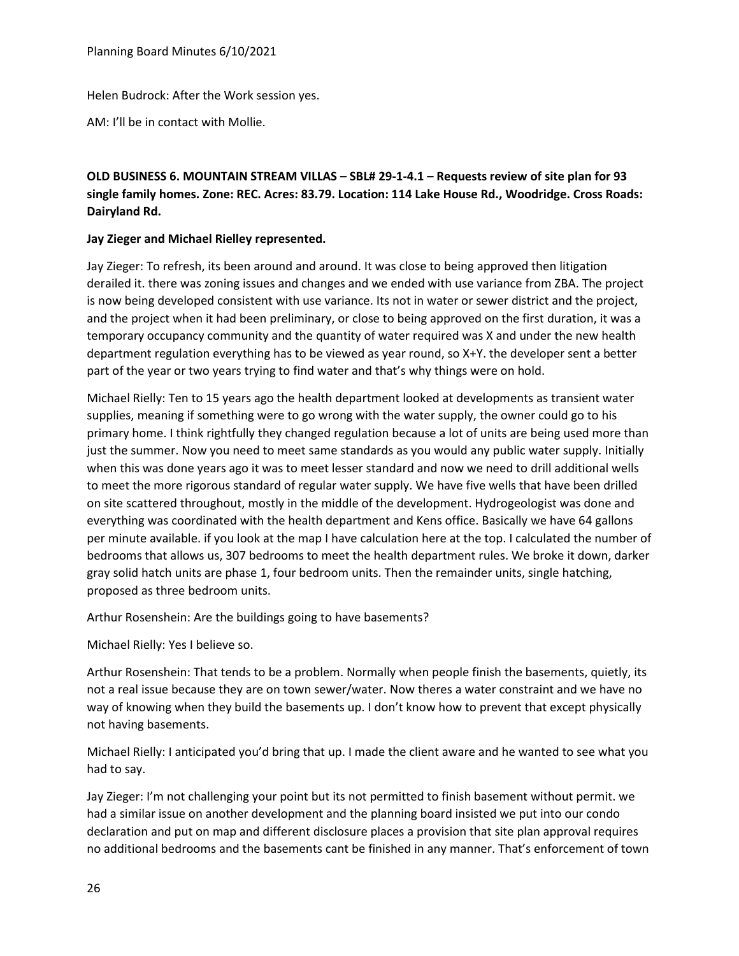Helen Budrock: After the Work session yes.

AM: I'll be in contact with Mollie.

# **OLD BUSINESS 6. MOUNTAIN STREAM VILLAS – SBL# 29-1-4.1 – Requests review of site plan for 93 single family homes. Zone: REC. Acres: 83.79. Location: 114 Lake House Rd., Woodridge. Cross Roads: Dairyland Rd.**

### **Jay Zieger and Michael Rielley represented.**

Jay Zieger: To refresh, its been around and around. It was close to being approved then litigation derailed it. there was zoning issues and changes and we ended with use variance from ZBA. The project is now being developed consistent with use variance. Its not in water or sewer district and the project, and the project when it had been preliminary, or close to being approved on the first duration, it was a temporary occupancy community and the quantity of water required was X and under the new health department regulation everything has to be viewed as year round, so X+Y. the developer sent a better part of the year or two years trying to find water and that's why things were on hold.

Michael Rielly: Ten to 15 years ago the health department looked at developments as transient water supplies, meaning if something were to go wrong with the water supply, the owner could go to his primary home. I think rightfully they changed regulation because a lot of units are being used more than just the summer. Now you need to meet same standards as you would any public water supply. Initially when this was done years ago it was to meet lesser standard and now we need to drill additional wells to meet the more rigorous standard of regular water supply. We have five wells that have been drilled on site scattered throughout, mostly in the middle of the development. Hydrogeologist was done and everything was coordinated with the health department and Kens office. Basically we have 64 gallons per minute available. if you look at the map I have calculation here at the top. I calculated the number of bedrooms that allows us, 307 bedrooms to meet the health department rules. We broke it down, darker gray solid hatch units are phase 1, four bedroom units. Then the remainder units, single hatching, proposed as three bedroom units.

Arthur Rosenshein: Are the buildings going to have basements?

Michael Rielly: Yes I believe so.

Arthur Rosenshein: That tends to be a problem. Normally when people finish the basements, quietly, its not a real issue because they are on town sewer/water. Now theres a water constraint and we have no way of knowing when they build the basements up. I don't know how to prevent that except physically not having basements.

Michael Rielly: I anticipated you'd bring that up. I made the client aware and he wanted to see what you had to say.

Jay Zieger: I'm not challenging your point but its not permitted to finish basement without permit. we had a similar issue on another development and the planning board insisted we put into our condo declaration and put on map and different disclosure places a provision that site plan approval requires no additional bedrooms and the basements cant be finished in any manner. That's enforcement of town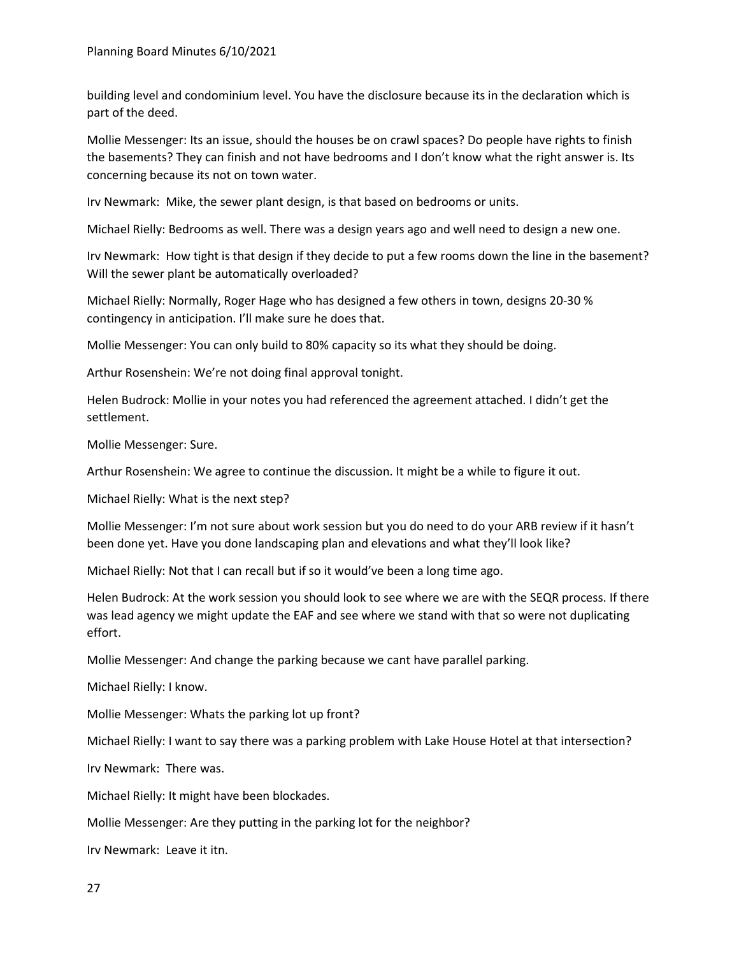building level and condominium level. You have the disclosure because its in the declaration which is part of the deed.

Mollie Messenger: Its an issue, should the houses be on crawl spaces? Do people have rights to finish the basements? They can finish and not have bedrooms and I don't know what the right answer is. Its concerning because its not on town water.

Irv Newmark: Mike, the sewer plant design, is that based on bedrooms or units.

Michael Rielly: Bedrooms as well. There was a design years ago and well need to design a new one.

Irv Newmark: How tight is that design if they decide to put a few rooms down the line in the basement? Will the sewer plant be automatically overloaded?

Michael Rielly: Normally, Roger Hage who has designed a few others in town, designs 20-30 % contingency in anticipation. I'll make sure he does that.

Mollie Messenger: You can only build to 80% capacity so its what they should be doing.

Arthur Rosenshein: We're not doing final approval tonight.

Helen Budrock: Mollie in your notes you had referenced the agreement attached. I didn't get the settlement.

Mollie Messenger: Sure.

Arthur Rosenshein: We agree to continue the discussion. It might be a while to figure it out.

Michael Rielly: What is the next step?

Mollie Messenger: I'm not sure about work session but you do need to do your ARB review if it hasn't been done yet. Have you done landscaping plan and elevations and what they'll look like?

Michael Rielly: Not that I can recall but if so it would've been a long time ago.

Helen Budrock: At the work session you should look to see where we are with the SEQR process. If there was lead agency we might update the EAF and see where we stand with that so were not duplicating effort.

Mollie Messenger: And change the parking because we cant have parallel parking.

Michael Rielly: I know.

Mollie Messenger: Whats the parking lot up front?

Michael Rielly: I want to say there was a parking problem with Lake House Hotel at that intersection?

Irv Newmark: There was.

Michael Rielly: It might have been blockades.

Mollie Messenger: Are they putting in the parking lot for the neighbor?

Irv Newmark: Leave it itn.